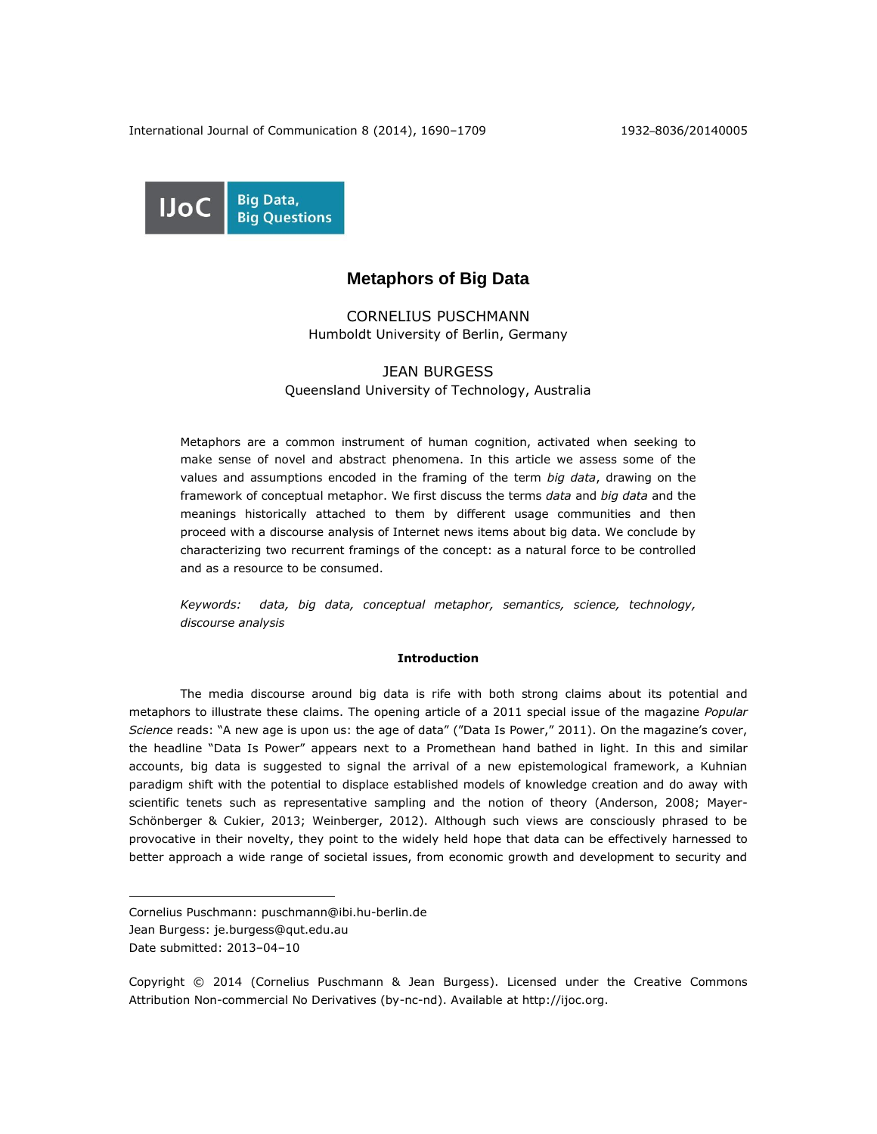

## **Metaphors of Big Data**

# CORNELIUS PUSCHMANN Humboldt University of Berlin, Germany

## JEAN BURGESS Queensland University of Technology, Australia

Metaphors are a common instrument of human cognition, activated when seeking to make sense of novel and abstract phenomena. In this article we assess some of the values and assumptions encoded in the framing of the term *big data*, drawing on the framework of conceptual metaphor. We first discuss the terms *data* and *big data* and the meanings historically attached to them by different usage communities and then proceed with a discourse analysis of Internet news items about big data. We conclude by characterizing two recurrent framings of the concept: as a natural force to be controlled and as a resource to be consumed.

*Keywords: data, big data, conceptual metaphor, semantics, science, technology, discourse analysis*

## **Introduction**

The media discourse around big data is rife with both strong claims about its potential and metaphors to illustrate these claims. The opening article of a 2011 special issue of the magazine *Popular Science* reads: "A new age is upon us: the age of data" ("Data Is Power," 2011). On the magazine's cover, the headline "Data Is Power" appears next to a Promethean hand bathed in light. In this and similar accounts, big data is suggested to signal the arrival of a new epistemological framework, a Kuhnian paradigm shift with the potential to displace established models of knowledge creation and do away with scientific tenets such as representative sampling and the notion of theory (Anderson, 2008; Mayer-Schönberger & Cukier, 2013; Weinberger, 2012). Although such views are consciously phrased to be provocative in their novelty, they point to the widely held hope that data can be effectively harnessed to better approach a wide range of societal issues, from economic growth and development to security and

 $\overline{a}$ 

Copyright © 2014 (Cornelius Puschmann & Jean Burgess). Licensed under the Creative Commons Attribution Non-commercial No Derivatives (by-nc-nd). Available at [http://ijoc.org.](http://ijoc.org/)

Cornelius Puschmann: [puschmann@ibi.hu-berlin.de](mailto:puschmann@ibi.hu-berlin.de)

Jean Burgess: je.burgess@qut.edu.au

Date submitted: 2013–04–10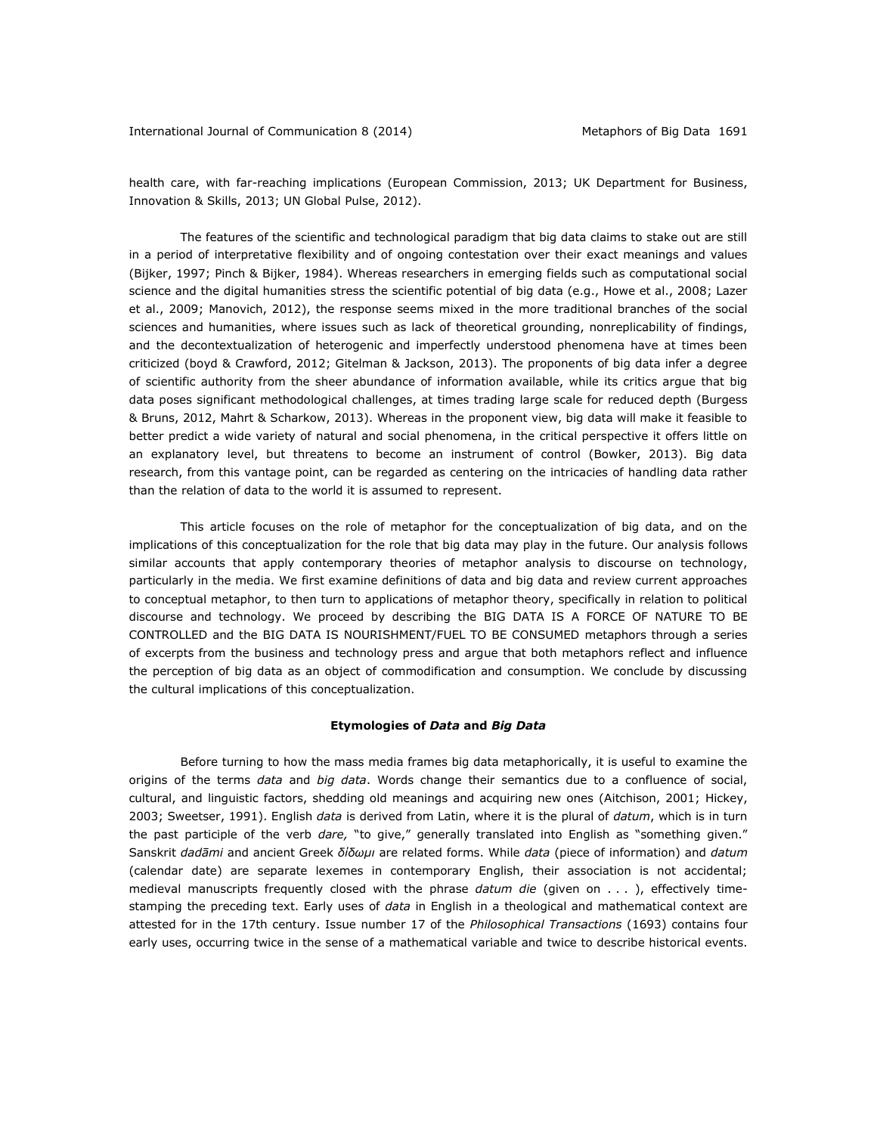International Journal of Communication 8 (2014) Metaphors of Big Data 1691

health care, with far-reaching implications (European Commission, 2013; UK Department for Business, Innovation & Skills, 2013; UN Global Pulse, 2012).

The features of the scientific and technological paradigm that big data claims to stake out are still in a period of interpretative flexibility and of ongoing contestation over their exact meanings and values (Bijker, 1997; Pinch & Bijker, 1984). Whereas researchers in emerging fields such as computational social science and the digital humanities stress the scientific potential of big data (e.g., Howe et al., 2008; Lazer et al., 2009; Manovich, 2012), the response seems mixed in the more traditional branches of the social sciences and humanities, where issues such as lack of theoretical grounding, nonreplicability of findings, and the decontextualization of heterogenic and imperfectly understood phenomena have at times been criticized (boyd & Crawford, 2012; Gitelman & Jackson, 2013). The proponents of big data infer a degree of scientific authority from the sheer abundance of information available, while its critics argue that big data poses significant methodological challenges, at times trading large scale for reduced depth (Burgess & Bruns, 2012, Mahrt & Scharkow, 2013). Whereas in the proponent view, big data will make it feasible to better predict a wide variety of natural and social phenomena, in the critical perspective it offers little on an explanatory level, but threatens to become an instrument of control (Bowker, 2013). Big data research, from this vantage point, can be regarded as centering on the intricacies of handling data rather than the relation of data to the world it is assumed to represent.

This article focuses on the role of metaphor for the conceptualization of big data, and on the implications of this conceptualization for the role that big data may play in the future. Our analysis follows similar accounts that apply contemporary theories of metaphor analysis to discourse on technology, particularly in the media. We first examine definitions of data and big data and review current approaches to conceptual metaphor, to then turn to applications of metaphor theory, specifically in relation to political discourse and technology. We proceed by describing the BIG DATA IS A FORCE OF NATURE TO BE CONTROLLED and the BIG DATA IS NOURISHMENT/FUEL TO BE CONSUMED metaphors through a series of excerpts from the business and technology press and argue that both metaphors reflect and influence the perception of big data as an object of commodification and consumption. We conclude by discussing the cultural implications of this conceptualization.

#### **Etymologies of** *Data* **and** *Big Data*

Before turning to how the mass media frames big data metaphorically, it is useful to examine the origins of the terms *data* and *big data*. Words change their semantics due to a confluence of social, cultural, and linguistic factors, shedding old meanings and acquiring new ones (Aitchison, 2001; Hickey, 2003; Sweetser, 1991). English *data* is derived from Latin, where it is the plural of *datum*, which is in turn the past participle of the verb *dare,* "to give," generally translated into English as "something given." Sanskrit *dadāmi* and ancient Greek *δίδωμι* are related forms. While *data* (piece of information) and *datum* (calendar date) are separate lexemes in contemporary English, their association is not accidental; medieval manuscripts frequently closed with the phrase *datum die* (given on . . . ), effectively timestamping the preceding text. Early uses of *data* in English in a theological and mathematical context are attested for in the 17th century. Issue number 17 of the *Philosophical Transactions* (1693) contains four early uses, occurring twice in the sense of a mathematical variable and twice to describe historical events.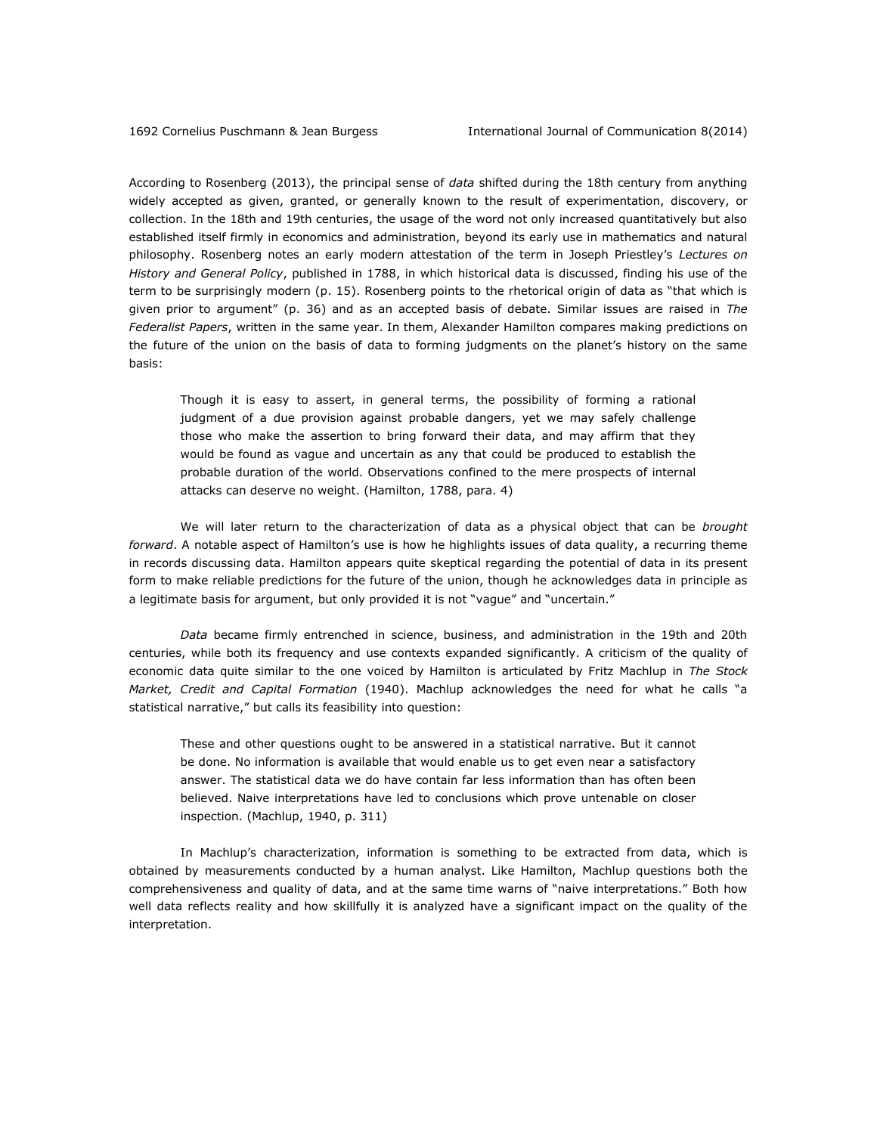According to Rosenberg (2013), the principal sense of *data* shifted during the 18th century from anything widely accepted as given, granted, or generally known to the result of experimentation, discovery, or collection. In the 18th and 19th centuries, the usage of the word not only increased quantitatively but also established itself firmly in economics and administration, beyond its early use in mathematics and natural philosophy. Rosenberg notes an early modern attestation of the term in Joseph Priestley's *Lectures on History and General Policy*, published in 1788, in which historical data is discussed, finding his use of the term to be surprisingly modern (p. 15). Rosenberg points to the rhetorical origin of data as "that which is given prior to argument" (p. 36) and as an accepted basis of debate. Similar issues are raised in *The Federalist Papers*, written in the same year. In them, Alexander Hamilton compares making predictions on the future of the union on the basis of data to forming judgments on the planet's history on the same basis:

Though it is easy to assert, in general terms, the possibility of forming a rational judgment of a due provision against probable dangers, yet we may safely challenge those who make the assertion to bring forward their data, and may affirm that they would be found as vague and uncertain as any that could be produced to establish the probable duration of the world. Observations confined to the mere prospects of internal attacks can deserve no weight. (Hamilton, 1788, para. 4)

We will later return to the characterization of data as a physical object that can be *brought forward*. A notable aspect of Hamilton's use is how he highlights issues of data quality, a recurring theme in records discussing data. Hamilton appears quite skeptical regarding the potential of data in its present form to make reliable predictions for the future of the union, though he acknowledges data in principle as a legitimate basis for argument, but only provided it is not "vague" and "uncertain."

*Data* became firmly entrenched in science, business, and administration in the 19th and 20th centuries, while both its frequency and use contexts expanded significantly. A criticism of the quality of economic data quite similar to the one voiced by Hamilton is articulated by Fritz Machlup in *The Stock Market, Credit and Capital Formation* (1940). Machlup acknowledges the need for what he calls "a statistical narrative," but calls its feasibility into question:

These and other questions ought to be answered in a statistical narrative. But it cannot be done. No information is available that would enable us to get even near a satisfactory answer. The statistical data we do have contain far less information than has often been believed. Naive interpretations have led to conclusions which prove untenable on closer inspection. (Machlup, 1940, p. 311)

In Machlup's characterization, information is something to be extracted from data, which is obtained by measurements conducted by a human analyst. Like Hamilton, Machlup questions both the comprehensiveness and quality of data, and at the same time warns of "naive interpretations." Both how well data reflects reality and how skillfully it is analyzed have a significant impact on the quality of the interpretation.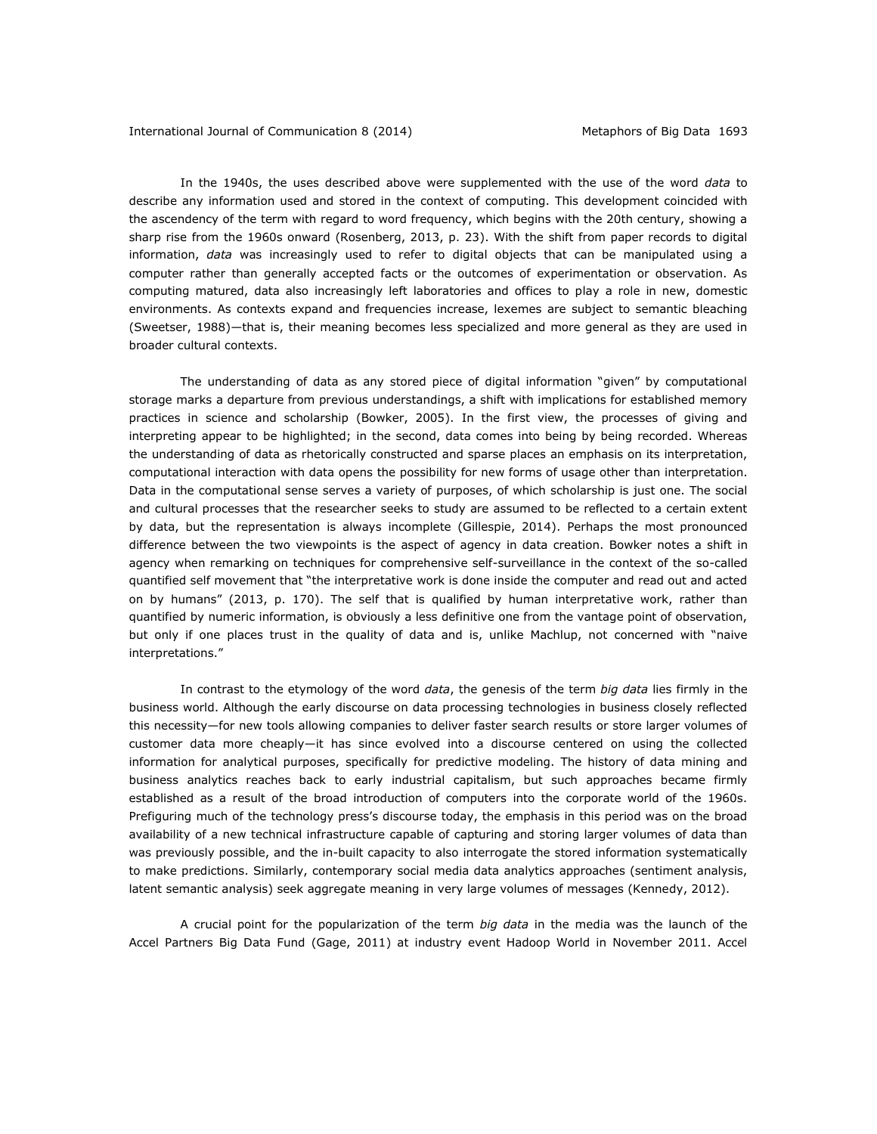In the 1940s, the uses described above were supplemented with the use of the word *data* to describe any information used and stored in the context of computing. This development coincided with the ascendency of the term with regard to word frequency, which begins with the 20th century, showing a sharp rise from the 1960s onward (Rosenberg, 2013, p. 23). With the shift from paper records to digital information, *data* was increasingly used to refer to digital objects that can be manipulated using a computer rather than generally accepted facts or the outcomes of experimentation or observation. As computing matured, data also increasingly left laboratories and offices to play a role in new, domestic environments. As contexts expand and frequencies increase, lexemes are subject to semantic bleaching (Sweetser, 1988)—that is, their meaning becomes less specialized and more general as they are used in broader cultural contexts.

The understanding of data as any stored piece of digital information "given" by computational storage marks a departure from previous understandings, a shift with implications for established memory practices in science and scholarship (Bowker, 2005). In the first view, the processes of giving and interpreting appear to be highlighted; in the second, data comes into being by being recorded. Whereas the understanding of data as rhetorically constructed and sparse places an emphasis on its interpretation, computational interaction with data opens the possibility for new forms of usage other than interpretation. Data in the computational sense serves a variety of purposes, of which scholarship is just one. The social and cultural processes that the researcher seeks to study are assumed to be reflected to a certain extent by data, but the representation is always incomplete (Gillespie, 2014). Perhaps the most pronounced difference between the two viewpoints is the aspect of agency in data creation. Bowker notes a shift in agency when remarking on techniques for comprehensive self-surveillance in the context of the so-called quantified self movement that "the interpretative work is done inside the computer and read out and acted on by humans" (2013, p. 170). The self that is qualified by human interpretative work, rather than quantified by numeric information, is obviously a less definitive one from the vantage point of observation, but only if one places trust in the quality of data and is, unlike Machlup, not concerned with "naive interpretations."

In contrast to the etymology of the word *data*, the genesis of the term *big data* lies firmly in the business world. Although the early discourse on data processing technologies in business closely reflected this necessity—for new tools allowing companies to deliver faster search results or store larger volumes of customer data more cheaply—it has since evolved into a discourse centered on using the collected information for analytical purposes, specifically for predictive modeling. The history of data mining and business analytics reaches back to early industrial capitalism, but such approaches became firmly established as a result of the broad introduction of computers into the corporate world of the 1960s. Prefiguring much of the technology press's discourse today, the emphasis in this period was on the broad availability of a new technical infrastructure capable of capturing and storing larger volumes of data than was previously possible, and the in-built capacity to also interrogate the stored information systematically to make predictions. Similarly, contemporary social media data analytics approaches (sentiment analysis, latent semantic analysis) seek aggregate meaning in very large volumes of messages (Kennedy, 2012).

A crucial point for the popularization of the term *big data* in the media was the launch of the Accel Partners Big Data Fund (Gage, 2011) at industry event Hadoop World in November 2011. Accel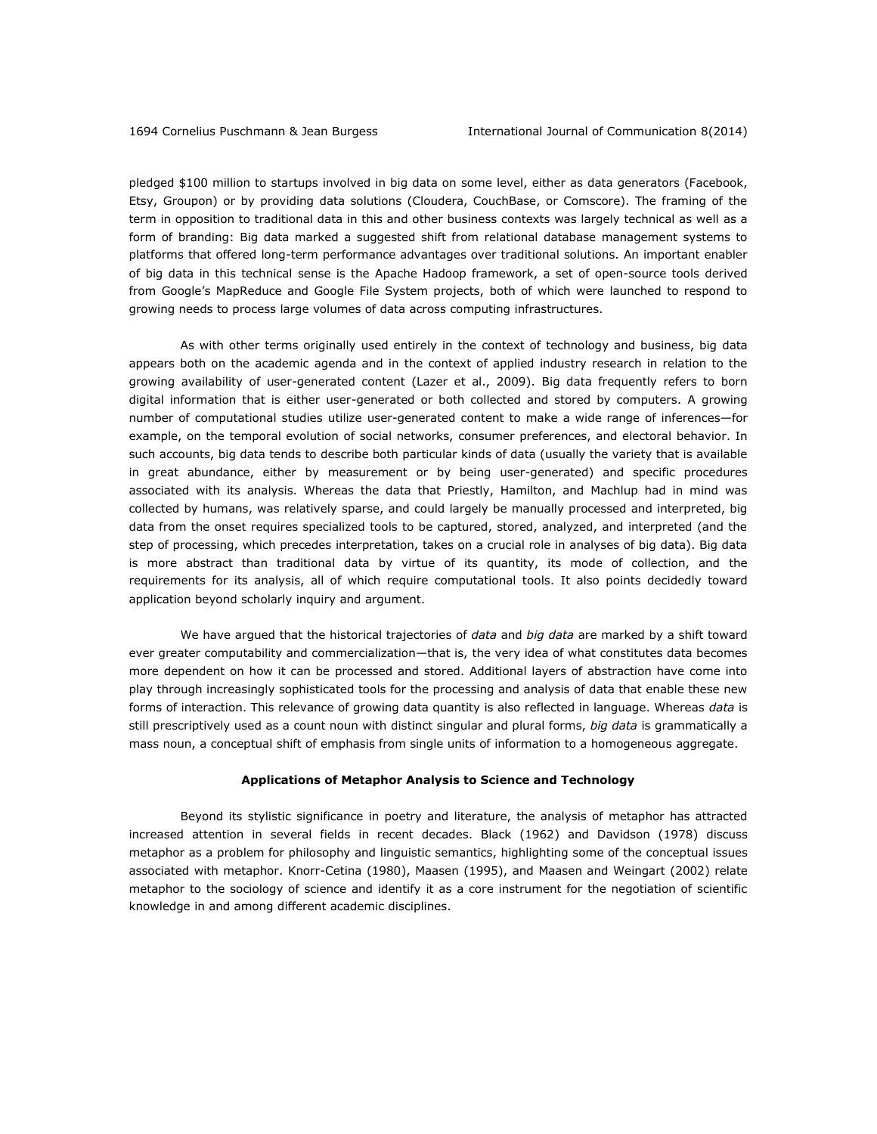pledged \$100 million to startups involved in big data on some level, either as data generators (Facebook, Etsy, Groupon) or by providing data solutions (Cloudera, CouchBase, or Comscore). The framing of the term in opposition to traditional data in this and other business contexts was largely technical as well as a form of branding: Big data marked a suggested shift from relational database management systems to platforms that offered long-term performance advantages over traditional solutions. An important enabler of big data in this technical sense is the Apache Hadoop framework, a set of open-source tools derived from Google's MapReduce and Google File System projects, both of which were launched to respond to growing needs to process large volumes of data across computing infrastructures.

As with other terms originally used entirely in the context of technology and business, big data appears both on the academic agenda and in the context of applied industry research in relation to the growing availability of user-generated content (Lazer et al., 2009). Big data frequently refers to born digital information that is either user-generated or both collected and stored by computers. A growing number of computational studies utilize user-generated content to make a wide range of inferences—for example, on the temporal evolution of social networks, consumer preferences, and electoral behavior. In such accounts, big data tends to describe both particular kinds of data (usually the variety that is available in great abundance, either by measurement or by being user-generated) and specific procedures associated with its analysis. Whereas the data that Priestly, Hamilton, and Machlup had in mind was collected by humans, was relatively sparse, and could largely be manually processed and interpreted, big data from the onset requires specialized tools to be captured, stored, analyzed, and interpreted (and the step of processing, which precedes interpretation, takes on a crucial role in analyses of big data). Big data is more abstract than traditional data by virtue of its quantity, its mode of collection, and the requirements for its analysis, all of which require computational tools. It also points decidedly toward application beyond scholarly inquiry and argument.

We have argued that the historical trajectories of *data* and *big data* are marked by a shift toward ever greater computability and commercialization—that is, the very idea of what constitutes data becomes more dependent on how it can be processed and stored. Additional layers of abstraction have come into play through increasingly sophisticated tools for the processing and analysis of data that enable these new forms of interaction. This relevance of growing data quantity is also reflected in language. Whereas *data* is still prescriptively used as a count noun with distinct singular and plural forms, *big data* is grammatically a mass noun, a conceptual shift of emphasis from single units of information to a homogeneous aggregate.

### **Applications of Metaphor Analysis to Science and Technology**

Beyond its stylistic significance in poetry and literature, the analysis of metaphor has attracted increased attention in several fields in recent decades. Black (1962) and Davidson (1978) discuss metaphor as a problem for philosophy and linguistic semantics, highlighting some of the conceptual issues associated with metaphor. Knorr-Cetina (1980), Maasen (1995), and Maasen and Weingart (2002) relate metaphor to the sociology of science and identify it as a core instrument for the negotiation of scientific knowledge in and among different academic disciplines.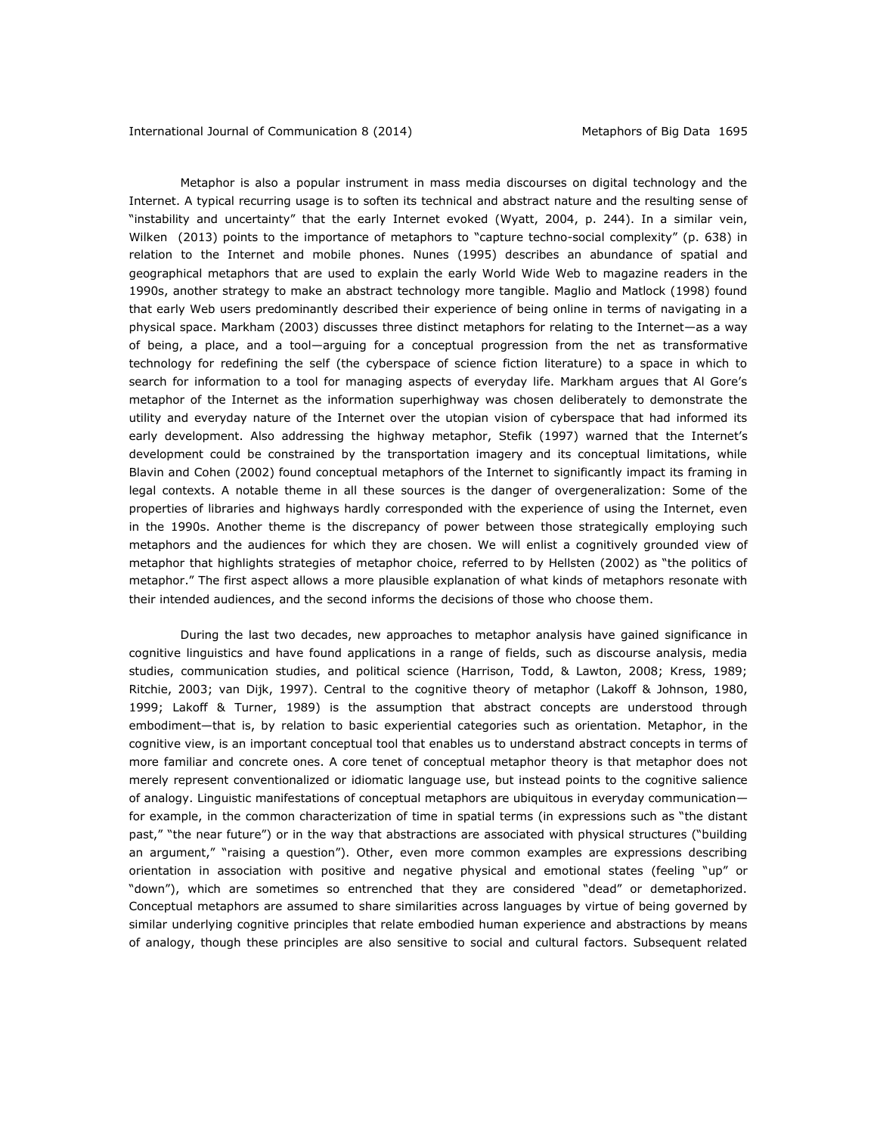Metaphor is also a popular instrument in mass media discourses on digital technology and the Internet. A typical recurring usage is to soften its technical and abstract nature and the resulting sense of "instability and uncertainty" that the early Internet evoked (Wyatt, 2004, p. 244). In a similar vein, Wilken (2013) points to the importance of metaphors to "capture techno-social complexity" (p. 638) in relation to the Internet and mobile phones. Nunes (1995) describes an abundance of spatial and geographical metaphors that are used to explain the early World Wide Web to magazine readers in the 1990s, another strategy to make an abstract technology more tangible. Maglio and Matlock (1998) found that early Web users predominantly described their experience of being online in terms of navigating in a physical space. Markham (2003) discusses three distinct metaphors for relating to the Internet—as a way of being, a place, and a tool—arguing for a conceptual progression from the net as transformative technology for redefining the self (the cyberspace of science fiction literature) to a space in which to search for information to a tool for managing aspects of everyday life. Markham argues that Al Gore's metaphor of the Internet as the information superhighway was chosen deliberately to demonstrate the utility and everyday nature of the Internet over the utopian vision of cyberspace that had informed its early development. Also addressing the highway metaphor, Stefik (1997) warned that the Internet's development could be constrained by the transportation imagery and its conceptual limitations, while Blavin and Cohen (2002) found conceptual metaphors of the Internet to significantly impact its framing in legal contexts. A notable theme in all these sources is the danger of overgeneralization: Some of the properties of libraries and highways hardly corresponded with the experience of using the Internet, even in the 1990s. Another theme is the discrepancy of power between those strategically employing such metaphors and the audiences for which they are chosen. We will enlist a cognitively grounded view of metaphor that highlights strategies of metaphor choice, referred to by Hellsten (2002) as "the politics of metaphor." The first aspect allows a more plausible explanation of what kinds of metaphors resonate with their intended audiences, and the second informs the decisions of those who choose them.

During the last two decades, new approaches to metaphor analysis have gained significance in cognitive linguistics and have found applications in a range of fields, such as discourse analysis, media studies, communication studies, and political science (Harrison, Todd, & Lawton, 2008; Kress, 1989; Ritchie, 2003; van Dijk, 1997). Central to the cognitive theory of metaphor (Lakoff & Johnson, 1980, 1999; Lakoff & Turner, 1989) is the assumption that abstract concepts are understood through embodiment—that is, by relation to basic experiential categories such as orientation. Metaphor, in the cognitive view, is an important conceptual tool that enables us to understand abstract concepts in terms of more familiar and concrete ones. A core tenet of conceptual metaphor theory is that metaphor does not merely represent conventionalized or idiomatic language use, but instead points to the cognitive salience of analogy. Linguistic manifestations of conceptual metaphors are ubiquitous in everyday communication for example, in the common characterization of time in spatial terms (in expressions such as "the distant past," "the near future") or in the way that abstractions are associated with physical structures ("building an argument," "raising a question"). Other, even more common examples are expressions describing orientation in association with positive and negative physical and emotional states (feeling "up" or "down"), which are sometimes so entrenched that they are considered "dead" or demetaphorized. Conceptual metaphors are assumed to share similarities across languages by virtue of being governed by similar underlying cognitive principles that relate embodied human experience and abstractions by means of analogy, though these principles are also sensitive to social and cultural factors. Subsequent related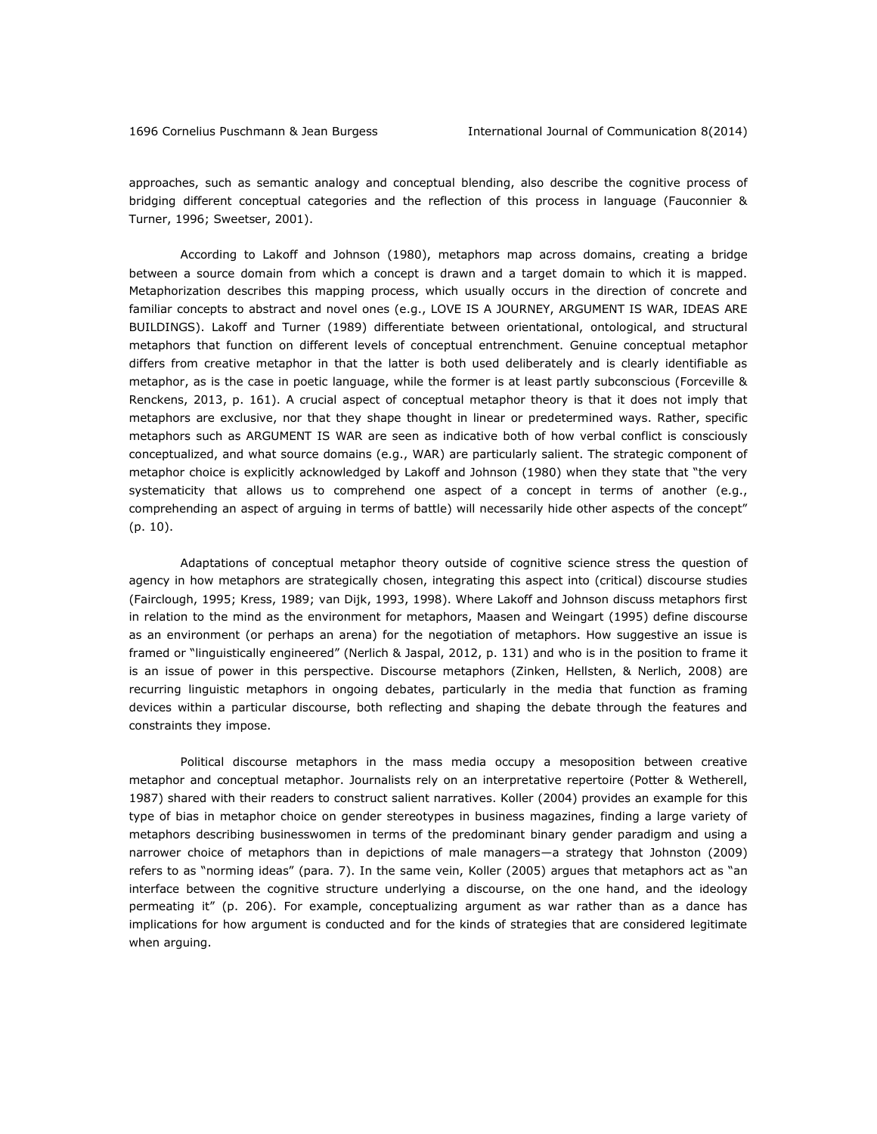approaches, such as semantic analogy and conceptual blending, also describe the cognitive process of bridging different conceptual categories and the reflection of this process in language (Fauconnier & Turner, 1996; Sweetser, 2001).

According to Lakoff and Johnson (1980), metaphors map across domains, creating a bridge between a source domain from which a concept is drawn and a target domain to which it is mapped. Metaphorization describes this mapping process, which usually occurs in the direction of concrete and familiar concepts to abstract and novel ones (e.g., LOVE IS A JOURNEY, ARGUMENT IS WAR, IDEAS ARE BUILDINGS). Lakoff and Turner (1989) differentiate between orientational, ontological, and structural metaphors that function on different levels of conceptual entrenchment. Genuine conceptual metaphor differs from creative metaphor in that the latter is both used deliberately and is clearly identifiable as metaphor, as is the case in poetic language, while the former is at least partly subconscious (Forceville & Renckens, 2013, p. 161). A crucial aspect of conceptual metaphor theory is that it does not imply that metaphors are exclusive, nor that they shape thought in linear or predetermined ways. Rather, specific metaphors such as ARGUMENT IS WAR are seen as indicative both of how verbal conflict is consciously conceptualized, and what source domains (e.g., WAR) are particularly salient. The strategic component of metaphor choice is explicitly acknowledged by Lakoff and Johnson (1980) when they state that "the very systematicity that allows us to comprehend one aspect of a concept in terms of another (e.g., comprehending an aspect of arguing in terms of battle) will necessarily hide other aspects of the concept" (p. 10).

Adaptations of conceptual metaphor theory outside of cognitive science stress the question of agency in how metaphors are strategically chosen, integrating this aspect into (critical) discourse studies (Fairclough, 1995; Kress, 1989; van Dijk, 1993, 1998). Where Lakoff and Johnson discuss metaphors first in relation to the mind as the environment for metaphors, Maasen and Weingart (1995) define discourse as an environment (or perhaps an arena) for the negotiation of metaphors. How suggestive an issue is framed or "linguistically engineered" (Nerlich & Jaspal, 2012, p. 131) and who is in the position to frame it is an issue of power in this perspective. Discourse metaphors (Zinken, Hellsten, & Nerlich, 2008) are recurring linguistic metaphors in ongoing debates, particularly in the media that function as framing devices within a particular discourse, both reflecting and shaping the debate through the features and constraints they impose.

Political discourse metaphors in the mass media occupy a mesoposition between creative metaphor and conceptual metaphor. Journalists rely on an interpretative repertoire (Potter & Wetherell, 1987) shared with their readers to construct salient narratives. Koller (2004) provides an example for this type of bias in metaphor choice on gender stereotypes in business magazines, finding a large variety of metaphors describing businesswomen in terms of the predominant binary gender paradigm and using a narrower choice of metaphors than in depictions of male managers—a strategy that Johnston (2009) refers to as "norming ideas" (para. 7). In the same vein, Koller (2005) argues that metaphors act as "an interface between the cognitive structure underlying a discourse, on the one hand, and the ideology permeating it" (p. 206). For example, conceptualizing argument as war rather than as a dance has implications for how argument is conducted and for the kinds of strategies that are considered legitimate when arguing.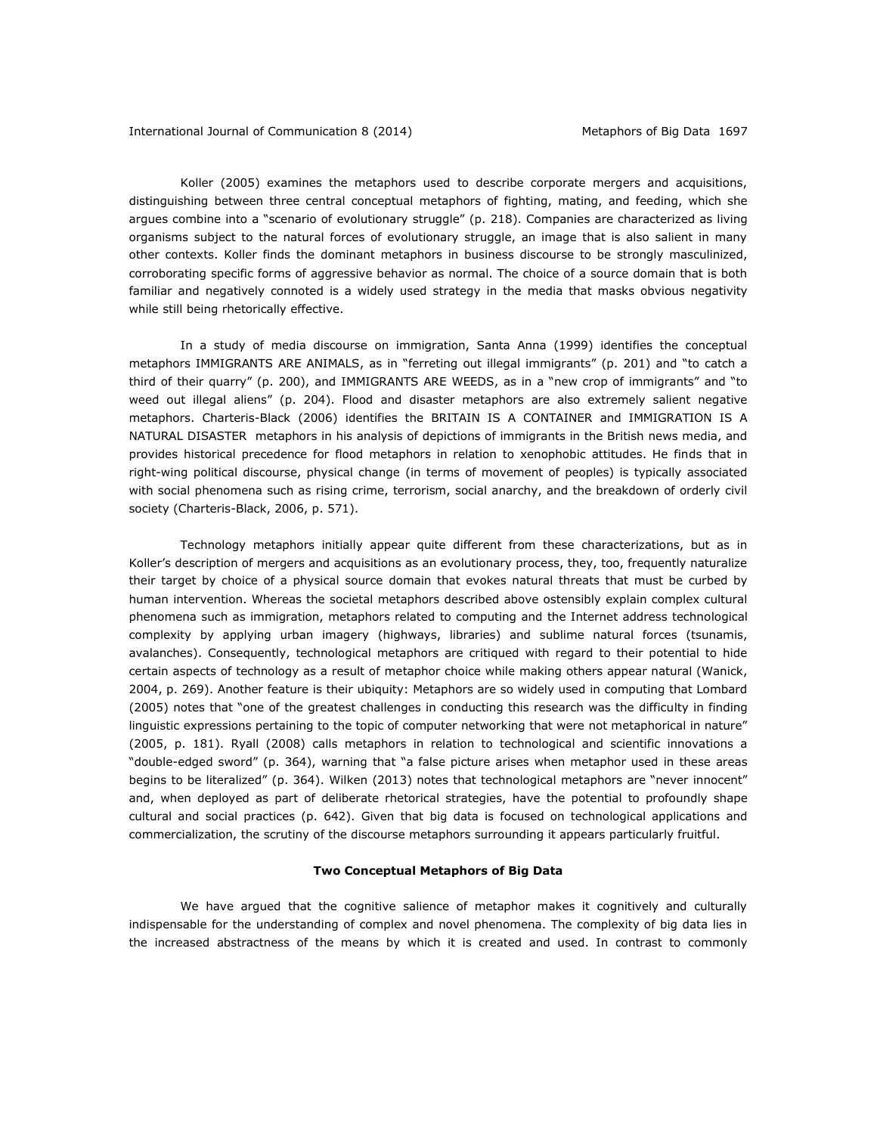Koller (2005) examines the metaphors used to describe corporate mergers and acquisitions, distinguishing between three central conceptual metaphors of fighting, mating, and feeding, which she argues combine into a "scenario of evolutionary struggle" (p. 218). Companies are characterized as living organisms subject to the natural forces of evolutionary struggle, an image that is also salient in many other contexts. Koller finds the dominant metaphors in business discourse to be strongly masculinized, corroborating specific forms of aggressive behavior as normal. The choice of a source domain that is both familiar and negatively connoted is a widely used strategy in the media that masks obvious negativity while still being rhetorically effective.

In a study of media discourse on immigration, Santa Anna (1999) identifies the conceptual metaphors IMMIGRANTS ARE ANIMALS, as in "ferreting out illegal immigrants" (p. 201) and "to catch a third of their quarry" (p. 200), and IMMIGRANTS ARE WEEDS, as in a "new crop of immigrants" and "to weed out illegal aliens" (p. 204). Flood and disaster metaphors are also extremely salient negative metaphors. Charteris-Black (2006) identifies the BRITAIN IS A CONTAINER and IMMIGRATION IS A NATURAL DISASTER metaphors in his analysis of depictions of immigrants in the British news media, and provides historical precedence for flood metaphors in relation to xenophobic attitudes. He finds that in right-wing political discourse, physical change (in terms of movement of peoples) is typically associated with social phenomena such as rising crime, terrorism, social anarchy, and the breakdown of orderly civil society (Charteris-Black, 2006, p. 571).

Technology metaphors initially appear quite different from these characterizations, but as in Koller's description of mergers and acquisitions as an evolutionary process, they, too, frequently naturalize their target by choice of a physical source domain that evokes natural threats that must be curbed by human intervention. Whereas the societal metaphors described above ostensibly explain complex cultural phenomena such as immigration, metaphors related to computing and the Internet address technological complexity by applying urban imagery (highways, libraries) and sublime natural forces (tsunamis, avalanches). Consequently, technological metaphors are critiqued with regard to their potential to hide certain aspects of technology as a result of metaphor choice while making others appear natural (Wanick, 2004, p. 269). Another feature is their ubiquity: Metaphors are so widely used in computing that Lombard (2005) notes that "one of the greatest challenges in conducting this research was the difficulty in finding linguistic expressions pertaining to the topic of computer networking that were not metaphorical in nature" (2005, p. 181). Ryall (2008) calls metaphors in relation to technological and scientific innovations a "double-edged sword" (p. 364), warning that "a false picture arises when metaphor used in these areas begins to be literalized" (p. 364). Wilken (2013) notes that technological metaphors are "never innocent" and, when deployed as part of deliberate rhetorical strategies, have the potential to profoundly shape cultural and social practices (p. 642). Given that big data is focused on technological applications and commercialization, the scrutiny of the discourse metaphors surrounding it appears particularly fruitful.

#### **Two Conceptual Metaphors of Big Data**

We have argued that the cognitive salience of metaphor makes it cognitively and culturally indispensable for the understanding of complex and novel phenomena. The complexity of big data lies in the increased abstractness of the means by which it is created and used. In contrast to commonly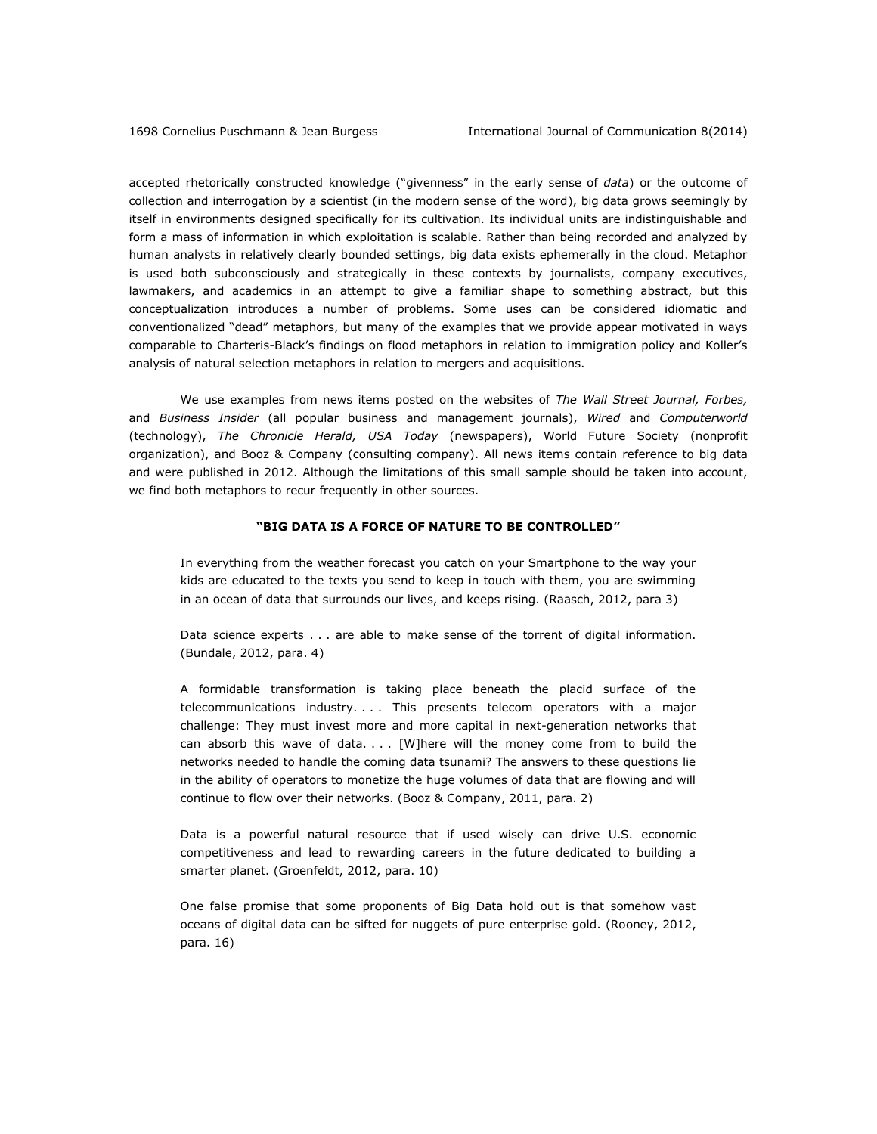accepted rhetorically constructed knowledge ("givenness" in the early sense of *data*) or the outcome of collection and interrogation by a scientist (in the modern sense of the word), big data grows seemingly by itself in environments designed specifically for its cultivation. Its individual units are indistinguishable and form a mass of information in which exploitation is scalable. Rather than being recorded and analyzed by human analysts in relatively clearly bounded settings, big data exists ephemerally in the cloud. Metaphor is used both subconsciously and strategically in these contexts by journalists, company executives, lawmakers, and academics in an attempt to give a familiar shape to something abstract, but this conceptualization introduces a number of problems. Some uses can be considered idiomatic and conventionalized "dead" metaphors, but many of the examples that we provide appear motivated in ways comparable to Charteris-Black's findings on flood metaphors in relation to immigration policy and Koller's analysis of natural selection metaphors in relation to mergers and acquisitions.

We use examples from news items posted on the websites of *The Wall Street Journal, Forbes,*  and *Business Insider* (all popular business and management journals), *Wired* and *Computerworld* (technology), *The Chronicle Herald, USA Today* (newspapers), World Future Society (nonprofit organization), and Booz & Company (consulting company). All news items contain reference to big data and were published in 2012. Although the limitations of this small sample should be taken into account, we find both metaphors to recur frequently in other sources.

### **"BIG DATA IS A FORCE OF NATURE TO BE CONTROLLED"**

In everything from the weather forecast you catch on your Smartphone to the way your kids are educated to the texts you send to keep in touch with them, you are swimming in an ocean of data that surrounds our lives, and keeps rising. (Raasch, 2012, para 3)

Data science experts . . . are able to make sense of the torrent of digital information. (Bundale, 2012, para. 4)

A formidable transformation is taking place beneath the placid surface of the telecommunications industry. . . . This presents telecom operators with a major challenge: They must invest more and more capital in next-generation networks that can absorb this wave of data.  $\ldots$  [W]here will the money come from to build the networks needed to handle the coming data tsunami? The answers to these questions lie in the ability of operators to monetize the huge volumes of data that are flowing and will continue to flow over their networks. (Booz & Company, 2011, para. 2)

Data is a powerful natural resource that if used wisely can drive U.S. economic competitiveness and lead to rewarding careers in the future dedicated to building a smarter planet. (Groenfeldt, 2012, para. 10)

One false promise that some proponents of Big Data hold out is that somehow vast oceans of digital data can be sifted for nuggets of pure enterprise gold. (Rooney, 2012, para. 16)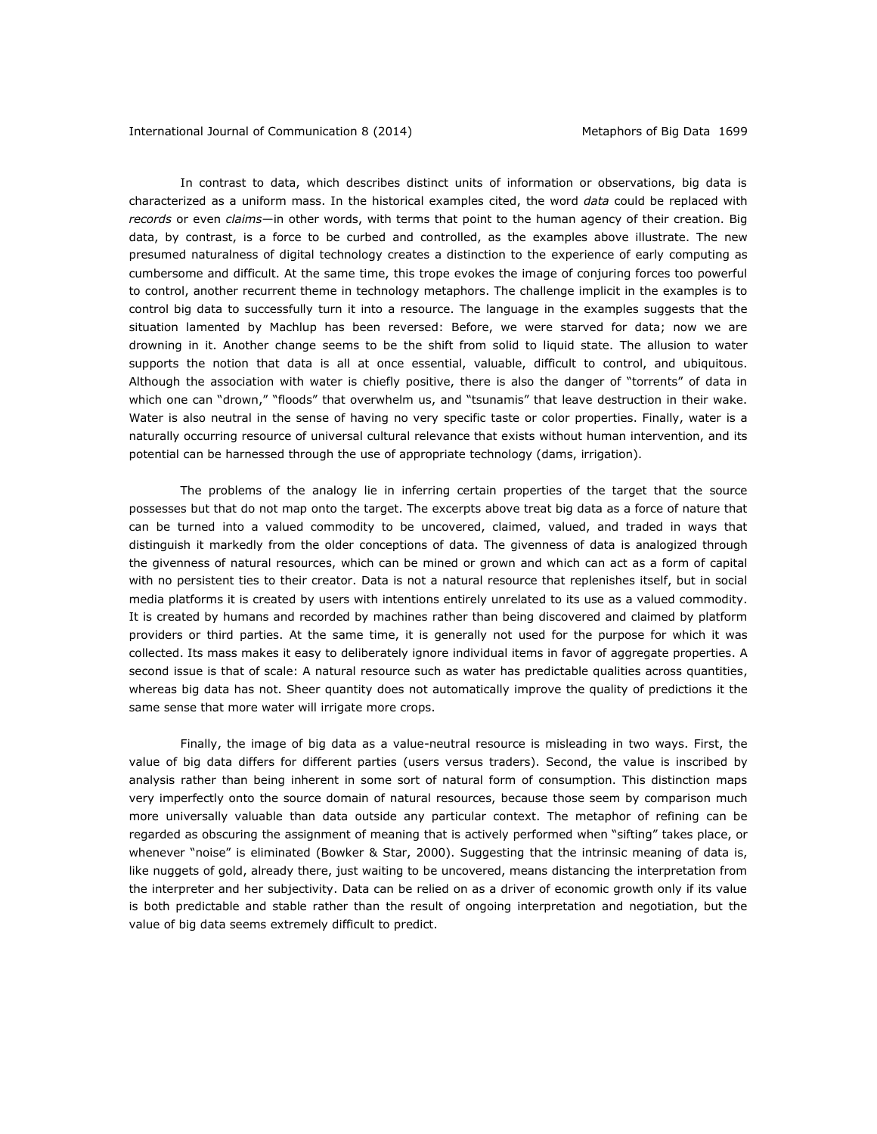In contrast to data, which describes distinct units of information or observations, big data is characterized as a uniform mass. In the historical examples cited, the word *data* could be replaced with *records* or even *claims*—in other words, with terms that point to the human agency of their creation. Big data, by contrast, is a force to be curbed and controlled, as the examples above illustrate. The new presumed naturalness of digital technology creates a distinction to the experience of early computing as cumbersome and difficult. At the same time, this trope evokes the image of conjuring forces too powerful to control, another recurrent theme in technology metaphors. The challenge implicit in the examples is to control big data to successfully turn it into a resource. The language in the examples suggests that the situation lamented by Machlup has been reversed: Before, we were starved for data; now we are drowning in it. Another change seems to be the shift from solid to liquid state. The allusion to water supports the notion that data is all at once essential, valuable, difficult to control, and ubiquitous. Although the association with water is chiefly positive, there is also the danger of "torrents" of data in which one can "drown," "floods" that overwhelm us, and "tsunamis" that leave destruction in their wake. Water is also neutral in the sense of having no very specific taste or color properties. Finally, water is a naturally occurring resource of universal cultural relevance that exists without human intervention, and its potential can be harnessed through the use of appropriate technology (dams, irrigation).

The problems of the analogy lie in inferring certain properties of the target that the source possesses but that do not map onto the target. The excerpts above treat big data as a force of nature that can be turned into a valued commodity to be uncovered, claimed, valued, and traded in ways that distinguish it markedly from the older conceptions of data. The givenness of data is analogized through the givenness of natural resources, which can be mined or grown and which can act as a form of capital with no persistent ties to their creator. Data is not a natural resource that replenishes itself, but in social media platforms it is created by users with intentions entirely unrelated to its use as a valued commodity. It is created by humans and recorded by machines rather than being discovered and claimed by platform providers or third parties. At the same time, it is generally not used for the purpose for which it was collected. Its mass makes it easy to deliberately ignore individual items in favor of aggregate properties. A second issue is that of scale: A natural resource such as water has predictable qualities across quantities, whereas big data has not. Sheer quantity does not automatically improve the quality of predictions it the same sense that more water will irrigate more crops.

Finally, the image of big data as a value-neutral resource is misleading in two ways. First, the value of big data differs for different parties (users versus traders). Second, the value is inscribed by analysis rather than being inherent in some sort of natural form of consumption. This distinction maps very imperfectly onto the source domain of natural resources, because those seem by comparison much more universally valuable than data outside any particular context. The metaphor of refining can be regarded as obscuring the assignment of meaning that is actively performed when "sifting" takes place, or whenever "noise" is eliminated (Bowker & Star, 2000). Suggesting that the intrinsic meaning of data is, like nuggets of gold, already there, just waiting to be uncovered, means distancing the interpretation from the interpreter and her subjectivity. Data can be relied on as a driver of economic growth only if its value is both predictable and stable rather than the result of ongoing interpretation and negotiation, but the value of big data seems extremely difficult to predict.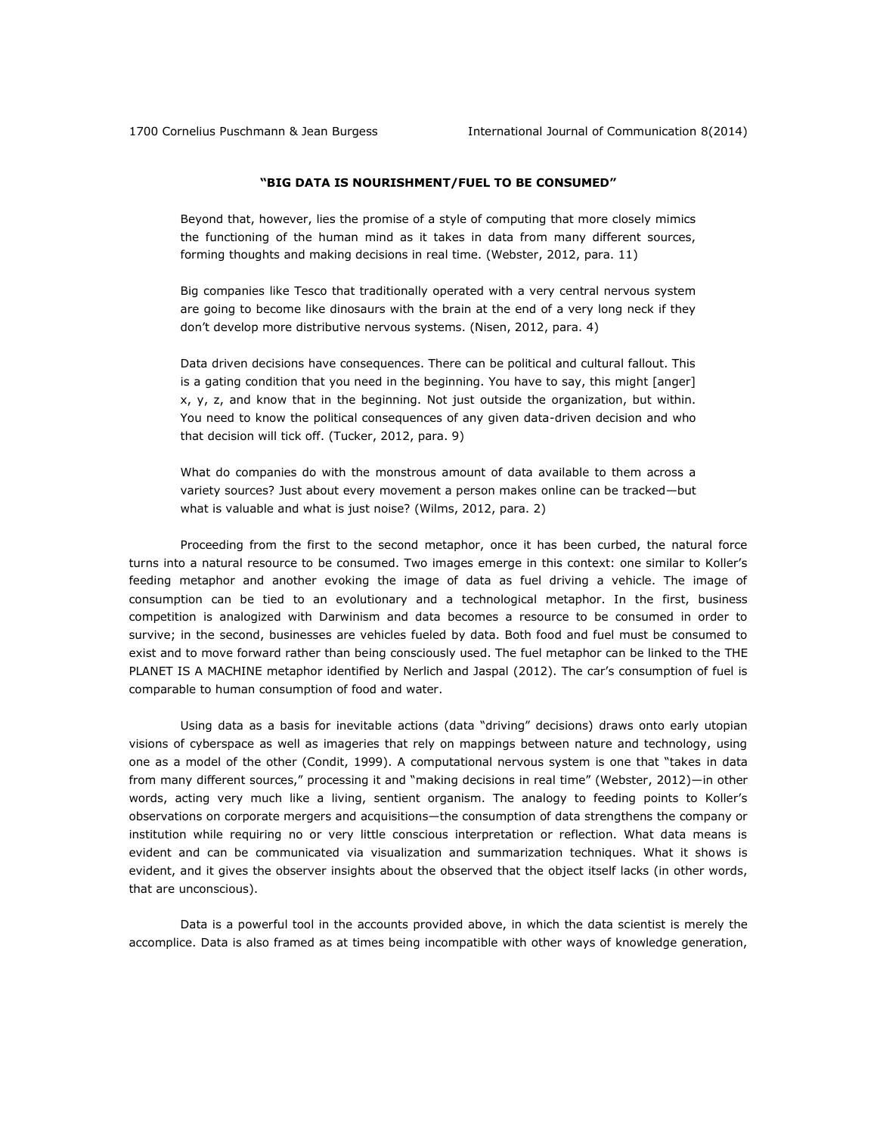## **"BIG DATA IS NOURISHMENT/FUEL TO BE CONSUMED"**

Beyond that, however, lies the promise of a style of computing that more closely mimics the functioning of the human mind as it takes in data from many different sources, forming thoughts and making decisions in real time. (Webster, 2012, para. 11)

Big companies like Tesco that traditionally operated with a very central nervous system are going to become like dinosaurs with the brain at the end of a very long neck if they don't develop more distributive nervous systems. (Nisen, 2012, para. 4)

Data driven decisions have consequences. There can be political and cultural fallout. This is a gating condition that you need in the beginning. You have to say, this might [anger] x, y, z, and know that in the beginning. Not just outside the organization, but within. You need to know the political consequences of any given data-driven decision and who that decision will tick off. (Tucker, 2012, para. 9)

What do companies do with the monstrous amount of data available to them across a variety sources? Just about every movement a person makes online can be tracked—but what is valuable and what is just noise? (Wilms, 2012, para. 2)

Proceeding from the first to the second metaphor, once it has been curbed, the natural force turns into a natural resource to be consumed. Two images emerge in this context: one similar to Koller's feeding metaphor and another evoking the image of data as fuel driving a vehicle. The image of consumption can be tied to an evolutionary and a technological metaphor. In the first, business competition is analogized with Darwinism and data becomes a resource to be consumed in order to survive; in the second, businesses are vehicles fueled by data. Both food and fuel must be consumed to exist and to move forward rather than being consciously used. The fuel metaphor can be linked to the THE PLANET IS A MACHINE metaphor identified by Nerlich and Jaspal (2012). The car's consumption of fuel is comparable to human consumption of food and water.

Using data as a basis for inevitable actions (data "driving" decisions) draws onto early utopian visions of cyberspace as well as imageries that rely on mappings between nature and technology, using one as a model of the other (Condit, 1999). A computational nervous system is one that "takes in data from many different sources," processing it and "making decisions in real time" (Webster, 2012)—in other words, acting very much like a living, sentient organism. The analogy to feeding points to Koller's observations on corporate mergers and acquisitions—the consumption of data strengthens the company or institution while requiring no or very little conscious interpretation or reflection. What data means is evident and can be communicated via visualization and summarization techniques. What it shows is evident, and it gives the observer insights about the observed that the object itself lacks (in other words, that are unconscious).

Data is a powerful tool in the accounts provided above, in which the data scientist is merely the accomplice. Data is also framed as at times being incompatible with other ways of knowledge generation,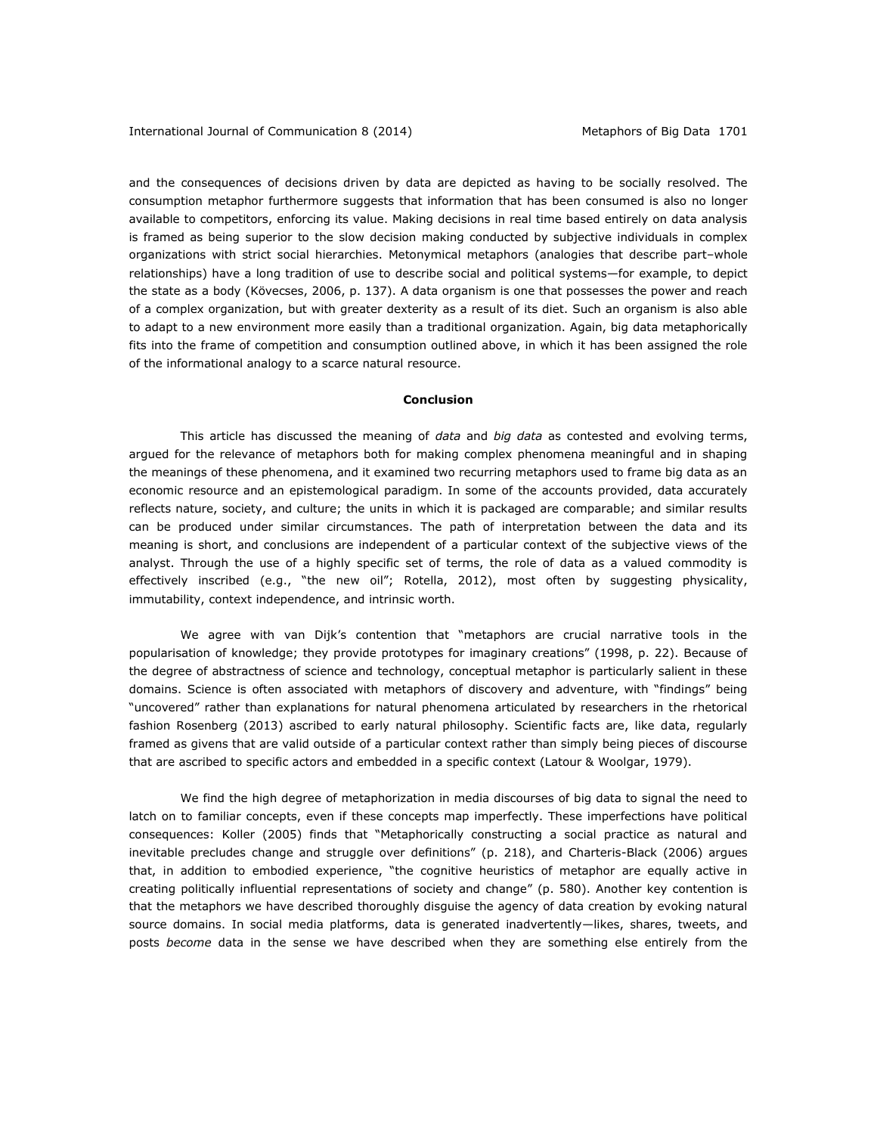and the consequences of decisions driven by data are depicted as having to be socially resolved. The consumption metaphor furthermore suggests that information that has been consumed is also no longer available to competitors, enforcing its value. Making decisions in real time based entirely on data analysis is framed as being superior to the slow decision making conducted by subjective individuals in complex organizations with strict social hierarchies. Metonymical metaphors (analogies that describe part–whole relationships) have a long tradition of use to describe social and political systems—for example, to depict the state as a body (Kövecses, 2006, p. 137). A data organism is one that possesses the power and reach of a complex organization, but with greater dexterity as a result of its diet. Such an organism is also able to adapt to a new environment more easily than a traditional organization. Again, big data metaphorically fits into the frame of competition and consumption outlined above, in which it has been assigned the role of the informational analogy to a scarce natural resource.

#### **Conclusion**

This article has discussed the meaning of *data* and *big data* as contested and evolving terms, argued for the relevance of metaphors both for making complex phenomena meaningful and in shaping the meanings of these phenomena, and it examined two recurring metaphors used to frame big data as an economic resource and an epistemological paradigm. In some of the accounts provided, data accurately reflects nature, society, and culture; the units in which it is packaged are comparable; and similar results can be produced under similar circumstances. The path of interpretation between the data and its meaning is short, and conclusions are independent of a particular context of the subjective views of the analyst. Through the use of a highly specific set of terms, the role of data as a valued commodity is effectively inscribed (e.g., "the new oil"; Rotella, 2012), most often by suggesting physicality, immutability, context independence, and intrinsic worth.

We agree with van Dijk's contention that "metaphors are crucial narrative tools in the popularisation of knowledge; they provide prototypes for imaginary creations" (1998, p. 22). Because of the degree of abstractness of science and technology, conceptual metaphor is particularly salient in these domains. Science is often associated with metaphors of discovery and adventure, with "findings" being "uncovered" rather than explanations for natural phenomena articulated by researchers in the rhetorical fashion Rosenberg (2013) ascribed to early natural philosophy. Scientific facts are, like data, regularly framed as givens that are valid outside of a particular context rather than simply being pieces of discourse that are ascribed to specific actors and embedded in a specific context (Latour & Woolgar, 1979).

We find the high degree of metaphorization in media discourses of big data to signal the need to latch on to familiar concepts, even if these concepts map imperfectly. These imperfections have political consequences: Koller (2005) finds that "Metaphorically constructing a social practice as natural and inevitable precludes change and struggle over definitions" (p. 218), and Charteris-Black (2006) argues that, in addition to embodied experience, "the cognitive heuristics of metaphor are equally active in creating politically influential representations of society and change" (p. 580). Another key contention is that the metaphors we have described thoroughly disguise the agency of data creation by evoking natural source domains. In social media platforms, data is generated inadvertently—likes, shares, tweets, and posts *become* data in the sense we have described when they are something else entirely from the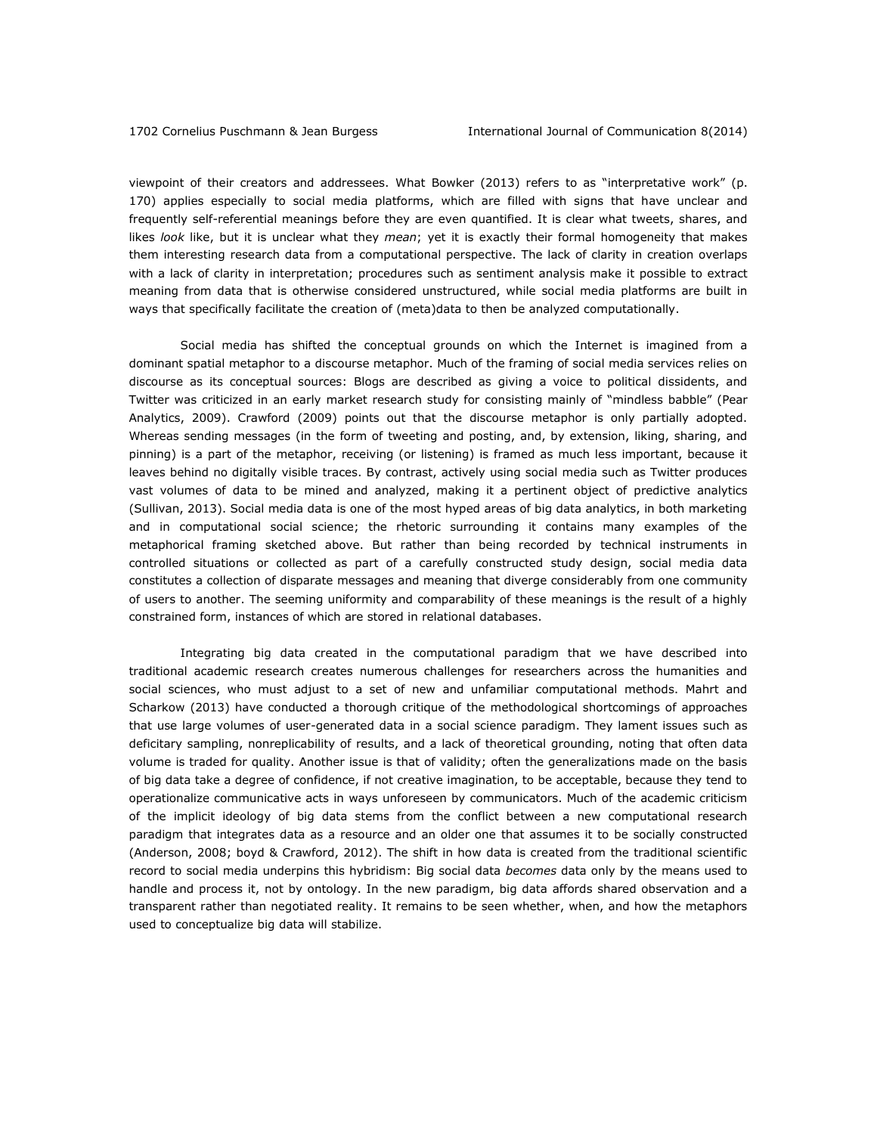viewpoint of their creators and addressees. What Bowker (2013) refers to as "interpretative work" (p. 170) applies especially to social media platforms, which are filled with signs that have unclear and frequently self-referential meanings before they are even quantified. It is clear what tweets, shares, and likes *look* like, but it is unclear what they *mean*; yet it is exactly their formal homogeneity that makes them interesting research data from a computational perspective. The lack of clarity in creation overlaps with a lack of clarity in interpretation; procedures such as sentiment analysis make it possible to extract meaning from data that is otherwise considered unstructured, while social media platforms are built in ways that specifically facilitate the creation of (meta)data to then be analyzed computationally.

Social media has shifted the conceptual grounds on which the Internet is imagined from a dominant spatial metaphor to a discourse metaphor. Much of the framing of social media services relies on discourse as its conceptual sources: Blogs are described as giving a voice to political dissidents, and Twitter was criticized in an early market research study for consisting mainly of "mindless babble" (Pear Analytics, 2009). Crawford (2009) points out that the discourse metaphor is only partially adopted. Whereas sending messages (in the form of tweeting and posting, and, by extension, liking, sharing, and pinning) is a part of the metaphor, receiving (or listening) is framed as much less important, because it leaves behind no digitally visible traces. By contrast, actively using social media such as Twitter produces vast volumes of data to be mined and analyzed, making it a pertinent object of predictive analytics (Sullivan, 2013). Social media data is one of the most hyped areas of big data analytics, in both marketing and in computational social science; the rhetoric surrounding it contains many examples of the metaphorical framing sketched above. But rather than being recorded by technical instruments in controlled situations or collected as part of a carefully constructed study design, social media data constitutes a collection of disparate messages and meaning that diverge considerably from one community of users to another. The seeming uniformity and comparability of these meanings is the result of a highly constrained form, instances of which are stored in relational databases.

Integrating big data created in the computational paradigm that we have described into traditional academic research creates numerous challenges for researchers across the humanities and social sciences, who must adjust to a set of new and unfamiliar computational methods. Mahrt and Scharkow (2013) have conducted a thorough critique of the methodological shortcomings of approaches that use large volumes of user-generated data in a social science paradigm. They lament issues such as deficitary sampling, nonreplicability of results, and a lack of theoretical grounding, noting that often data volume is traded for quality. Another issue is that of validity; often the generalizations made on the basis of big data take a degree of confidence, if not creative imagination, to be acceptable, because they tend to operationalize communicative acts in ways unforeseen by communicators. Much of the academic criticism of the implicit ideology of big data stems from the conflict between a new computational research paradigm that integrates data as a resource and an older one that assumes it to be socially constructed (Anderson, 2008; boyd & Crawford, 2012). The shift in how data is created from the traditional scientific record to social media underpins this hybridism: Big social data *becomes* data only by the means used to handle and process it, not by ontology. In the new paradigm, big data affords shared observation and a transparent rather than negotiated reality. It remains to be seen whether, when, and how the metaphors used to conceptualize big data will stabilize.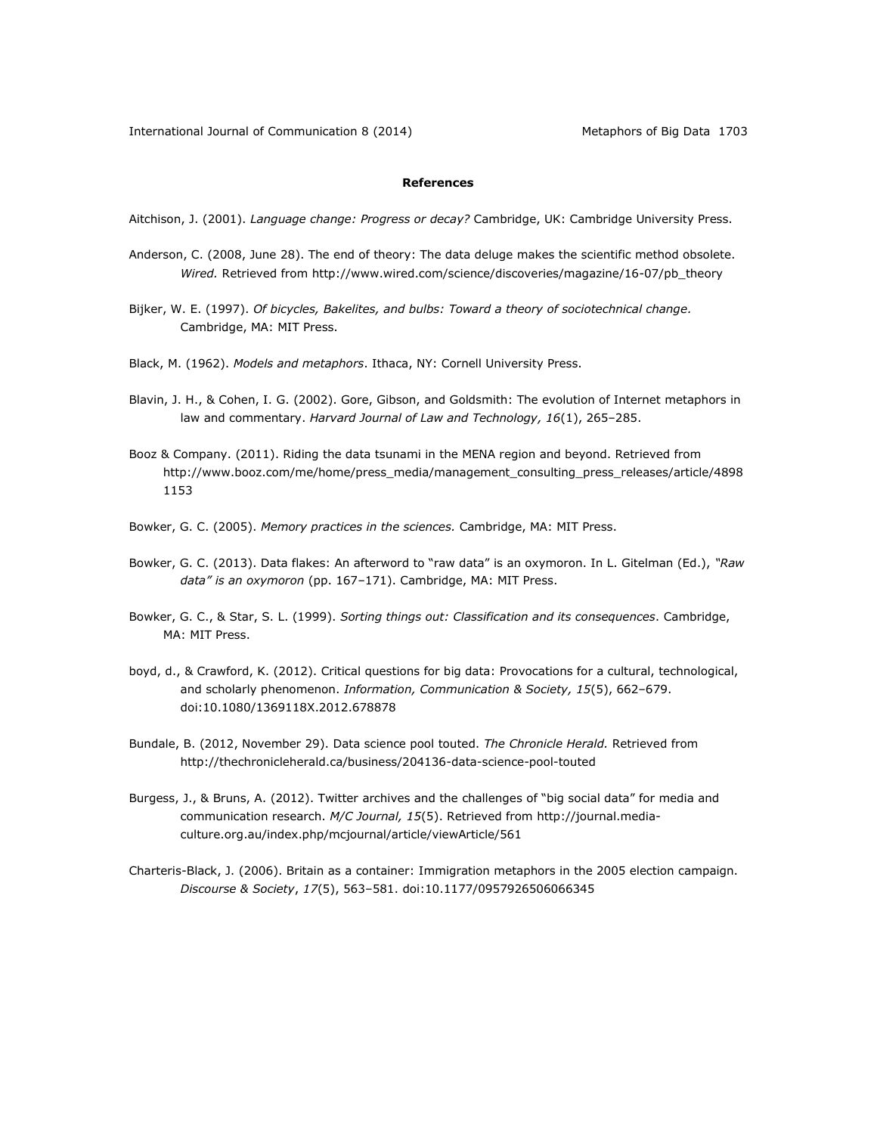## **References**

Aitchison, J. (2001). *Language change: Progress or decay?* Cambridge, UK: Cambridge University Press.

- Anderson, C. (2008, June 28). The end of theory: The data deluge makes the scientific method obsolete. *Wired.* Retrieved from [http://www.wired.com/science/discoveries/magazine/16-07/pb\\_theory](http://www.wired.com/science/discoveries/magazine/16-07/pb_theory)
- Bijker, W. E. (1997). *Of bicycles, Bakelites, and bulbs: Toward a theory of sociotechnical change.* Cambridge, MA: MIT Press.
- Black, M. (1962). *Models and metaphors*. Ithaca, NY: Cornell University Press.
- Blavin, J. H., & Cohen, I. G. (2002). Gore, Gibson, and Goldsmith: The evolution of Internet metaphors in law and commentary. *Harvard Journal of Law and Technology, 16*(1), 265–285.
- Booz & Company. (2011). Riding the data tsunami in the MENA region and beyond. Retrieved from [http://www.booz.com/me/home/press\\_media/management\\_consulting\\_press\\_releases/article/4898](http://www.booz.com/me/home/press_media/management_consulting_press_releases/article/48981153) [1153](http://www.booz.com/me/home/press_media/management_consulting_press_releases/article/48981153)
- Bowker, G. C. (2005). *Memory practices in the sciences.* Cambridge, MA: MIT Press.
- Bowker, G. C. (2013). Data flakes: An afterword to "raw data" is an oxymoron. In L. Gitelman (Ed.), *"Raw data" is an oxymoron* (pp. 167–171). Cambridge, MA: MIT Press.
- Bowker, G. C., & Star, S. L. (1999). *Sorting things out: Classification and its consequences*. Cambridge, MA: MIT Press.
- boyd, d., & Crawford, K. (2012). Critical questions for big data: Provocations for a cultural, technological, and scholarly phenomenon. *Information, Communication & Society, 15*(5), 662–679. doi:10.1080/1369118X.2012.678878
- Bundale, B. (2012, November 29). Data science pool touted. *The Chronicle Herald.* Retrieved from <http://thechronicleherald.ca/business/204136-data-science-pool-touted>
- Burgess, J., & Bruns, A. (2012). Twitter archives and the challenges of "big social data" for media and communication research. *M/C Journal, 15*(5). Retrieved from [http://journal.media](http://journal.media-culture.org.au/index.php/mcjournal/article/viewArticle/561)[culture.org.au/index.php/mcjournal/article/viewArticle/561](http://journal.media-culture.org.au/index.php/mcjournal/article/viewArticle/561)
- Charteris-Black, J. (2006). Britain as a container: Immigration metaphors in the 2005 election campaign. *Discourse & Society*, *17*(5), 563–581. doi:10.1177/0957926506066345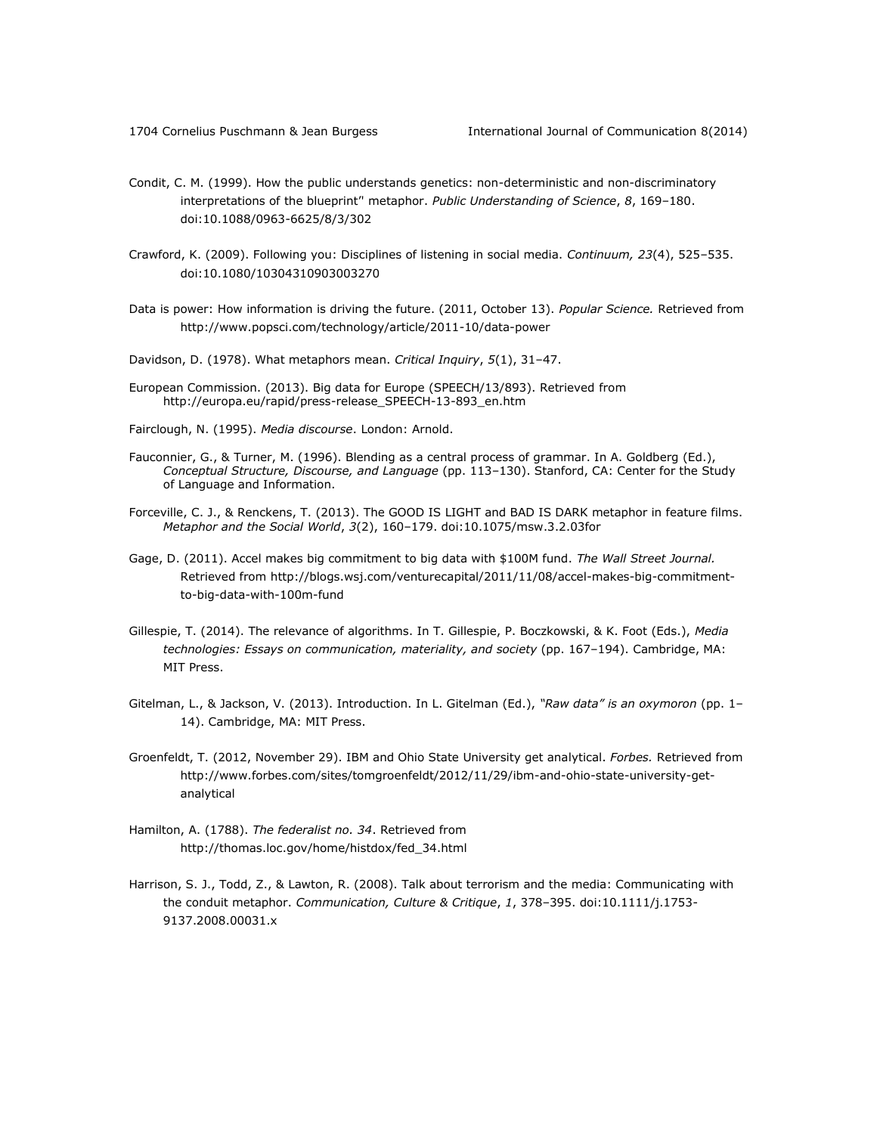- Condit, C. M. (1999). How the public understands genetics: non-deterministic and non-discriminatory interpretations of the blueprint'' metaphor. *Public Understanding of Science*, *8*, 169–180. doi:10.1088/0963-6625/8/3/302
- Crawford, K. (2009). Following you: Disciplines of listening in social media. *Continuum, 23*(4), 525–535. doi:10.1080/10304310903003270
- Data is power: How information is driving the future. (2011, October 13). *Popular Science.* Retrieved from <http://www.popsci.com/technology/article/2011-10/data-power>

Davidson, D. (1978). What metaphors mean. *Critical Inquiry*, *5*(1), 31–47.

- European Commission. (2013). Big data for Europe (SPEECH/13/893). Retrieved from [http://europa.eu/rapid/press-release\\_SPEECH-13-893\\_en.htm](http://europa.eu/rapid/press-release_SPEECH-13-893_en.htm)
- Fairclough, N. (1995). *Media discourse*. London: Arnold.
- Fauconnier, G., & Turner, M. (1996). Blending as a central process of grammar. In A. Goldberg (Ed.), *Conceptual Structure, Discourse, and Language* (pp. 113–130). Stanford, CA: Center for the Study of Language and Information.
- Forceville, C. J., & Renckens, T. (2013). The GOOD IS LIGHT and BAD IS DARK metaphor in feature films. *Metaphor and the Social World*, *3*(2), 160–179. doi:10.1075/msw.3.2.03for
- Gage, D. (2011). Accel makes big commitment to big data with \$100M fund. *The Wall Street Journal.* Retrieved from [http://blogs.wsj.com/venturecapital/2011/11/08/accel-makes-big-commitment](http://blogs.wsj.com/venturecapital/2011/11/08/accel-makes-big-commitment-to-big-data-with-100m-fund)[to-big-data-with-100m-fund](http://blogs.wsj.com/venturecapital/2011/11/08/accel-makes-big-commitment-to-big-data-with-100m-fund)
- Gillespie, T. (2014). The relevance of algorithms. In T. Gillespie, P. Boczkowski, & K. Foot (Eds.), *Media technologies: Essays on communication, materiality, and society* (pp. 167–194). Cambridge, MA: MIT Press.
- Gitelman, L., & Jackson, V. (2013). Introduction. In L. Gitelman (Ed.), *"Raw data" is an oxymoron* (pp. 1– 14). Cambridge, MA: MIT Press.
- Groenfeldt, T. (2012, November 29). IBM and Ohio State University get analytical. *Forbes.* Retrieved from [http://www.forbes.com/sites/tomgroenfeldt/2012/11/29/ibm-and-ohio-state-university-get](http://www.forbes.com/sites/tomgroenfeldt/2012/11/29/ibm-and-ohio-state-university-get-analytical)[analytical](http://www.forbes.com/sites/tomgroenfeldt/2012/11/29/ibm-and-ohio-state-university-get-analytical)
- Hamilton, A. (1788). *The federalist no. 34*. Retrieved from [http://thomas.loc.gov/home/histdox/fed\\_34.html](http://thomas.loc.gov/home/histdox/fed_34.html)
- Harrison, S. J., Todd, Z., & Lawton, R. (2008). Talk about terrorism and the media: Communicating with the conduit metaphor. *Communication, Culture & Critique*, *1*, 378–395. doi:10.1111/j.1753- 9137.2008.00031.x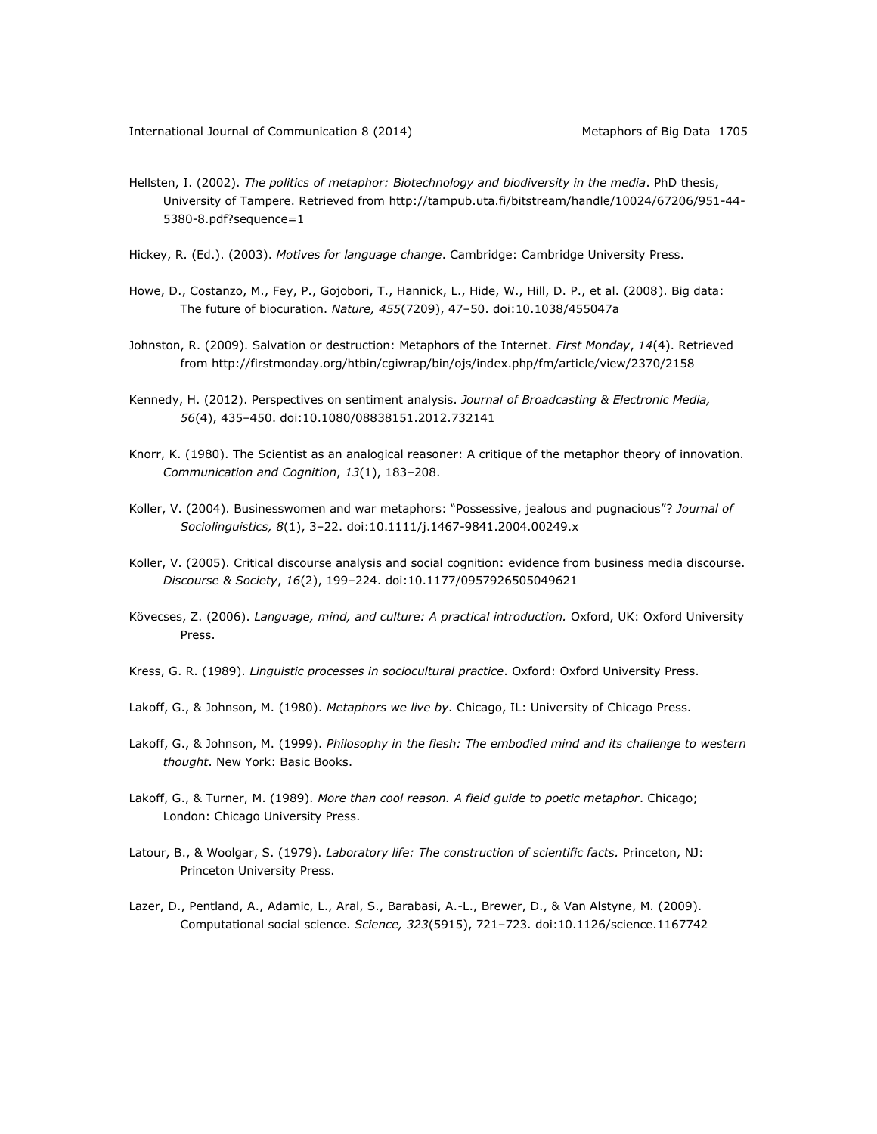Hellsten, I. (2002). *The politics of metaphor: Biotechnology and biodiversity in the media*. PhD thesis, University of Tampere. Retrieved from [http://tampub.uta.fi/bitstream/handle/10024/67206/951-44-](http://tampub.uta.fi/bitstream/handle/10024/67206/951-44-5380-8.pdf?sequence=1) [5380-8.pdf?sequence=1](http://tampub.uta.fi/bitstream/handle/10024/67206/951-44-5380-8.pdf?sequence=1)

Hickey, R. (Ed.). (2003). *Motives for language change*. Cambridge: Cambridge University Press.

- Howe, D., Costanzo, M., Fey, P., Gojobori, T., Hannick, L., Hide, W., Hill, D. P., et al. (2008). Big data: The future of biocuration. *Nature, 455*(7209), 47–50. doi:10.1038/455047a
- Johnston, R. (2009). Salvation or destruction: Metaphors of the Internet. *First Monday*, *14*(4). Retrieved from<http://firstmonday.org/htbin/cgiwrap/bin/ojs/index.php/fm/article/view/2370/2158>
- Kennedy, H. (2012). Perspectives on sentiment analysis. *Journal of Broadcasting & Electronic Media, 56*(4), 435–450. doi:10.1080/08838151.2012.732141
- Knorr, K. (1980). The Scientist as an analogical reasoner: A critique of the metaphor theory of innovation. *Communication and Cognition*, *13*(1), 183–208.
- Koller, V. (2004). Businesswomen and war metaphors: "Possessive, jealous and pugnacious"? *Journal of Sociolinguistics, 8*(1), 3–22. doi:10.1111/j.1467-9841.2004.00249.x
- Koller, V. (2005). Critical discourse analysis and social cognition: evidence from business media discourse. *Discourse & Society*, *16*(2), 199–224. doi:10.1177/0957926505049621
- Kövecses, Z. (2006). *Language, mind, and culture: A practical introduction.* Oxford, UK: Oxford University Press.
- Kress, G. R. (1989). *Linguistic processes in sociocultural practice*. Oxford: Oxford University Press.
- Lakoff, G., & Johnson, M. (1980). *Metaphors we live by.* Chicago, IL: University of Chicago Press.
- Lakoff, G., & Johnson, M. (1999). *Philosophy in the flesh: The embodied mind and its challenge to western thought*. New York: Basic Books.
- Lakoff, G., & Turner, M. (1989). *More than cool reason. A field guide to poetic metaphor*. Chicago; London: Chicago University Press.
- Latour, B., & Woolgar, S. (1979). *Laboratory life: The construction of scientific facts.* Princeton, NJ: Princeton University Press.
- Lazer, D., Pentland, A., Adamic, L., Aral, S., Barabasi, A.-L., Brewer, D., & Van Alstyne, M. (2009). Computational social science. *Science, 323*(5915), 721–723. doi:10.1126/science.1167742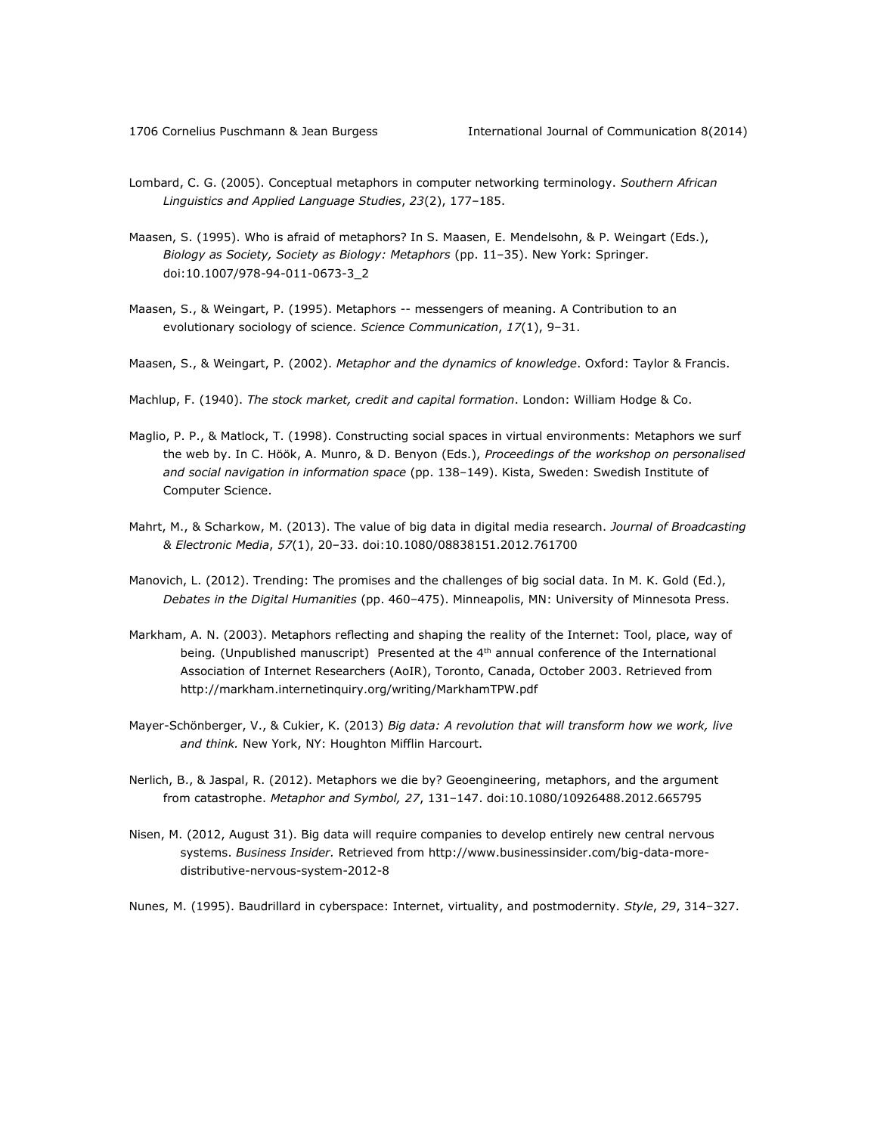- Lombard, C. G. (2005). Conceptual metaphors in computer networking terminology. *Southern African Linguistics and Applied Language Studies*, *23*(2), 177–185.
- Maasen, S. (1995). Who is afraid of metaphors? In S. Maasen, E. Mendelsohn, & P. Weingart (Eds.), *Biology as Society, Society as Biology: Metaphors* (pp. 11–35). New York: Springer. doi:10.1007/978-94-011-0673-3\_2
- Maasen, S., & Weingart, P. (1995). Metaphors -- messengers of meaning. A Contribution to an evolutionary sociology of science. *Science Communication*, *17*(1), 9–31.

Maasen, S., & Weingart, P. (2002). *Metaphor and the dynamics of knowledge*. Oxford: Taylor & Francis.

- Machlup, F. (1940). *The stock market, credit and capital formation*. London: William Hodge & Co.
- Maglio, P. P., & Matlock, T. (1998). Constructing social spaces in virtual environments: Metaphors we surf the web by. In C. Höök, A. Munro, & D. Benyon (Eds.), *Proceedings of the workshop on personalised and social navigation in information space* (pp. 138–149). Kista, Sweden: Swedish Institute of Computer Science.
- Mahrt, M., & Scharkow, M. (2013). The value of big data in digital media research. *Journal of Broadcasting & Electronic Media*, *57*(1), 20–33. doi:10.1080/08838151.2012.761700
- Manovich, L. (2012). Trending: The promises and the challenges of big social data. In M. K. Gold (Ed.), *Debates in the Digital Humanities* (pp. 460–475). Minneapolis, MN: University of Minnesota Press.
- Markham, A. N. (2003). Metaphors reflecting and shaping the reality of the Internet: Tool, place, way of being. (Unpublished manuscript) Presented at the 4<sup>th</sup> annual conference of the International Association of Internet Researchers (AoIR), Toronto, Canada, October 2003. Retrieved from <http://markham.internetinquiry.org/writing/MarkhamTPW.pdf>
- Mayer-Schönberger, V., & Cukier, K. (2013) *Big data: A revolution that will transform how we work, live and think.* New York, NY: Houghton Mifflin Harcourt.
- Nerlich, B., & Jaspal, R. (2012). Metaphors we die by? Geoengineering, metaphors, and the argument from catastrophe. *Metaphor and Symbol, 27*, 131–147. doi:10.1080/10926488.2012.665795
- Nisen, M. (2012, August 31). Big data will require companies to develop entirely new central nervous systems. *Business Insider.* Retrieved from [http://www.businessinsider.com/big-data-more](http://www.businessinsider.com/big-data-more-distributive-nervous-system-2012-8)[distributive-nervous-system-2012-8](http://www.businessinsider.com/big-data-more-distributive-nervous-system-2012-8)
- Nunes, M. (1995). Baudrillard in cyberspace: Internet, virtuality, and postmodernity. *Style*, *29*, 314–327.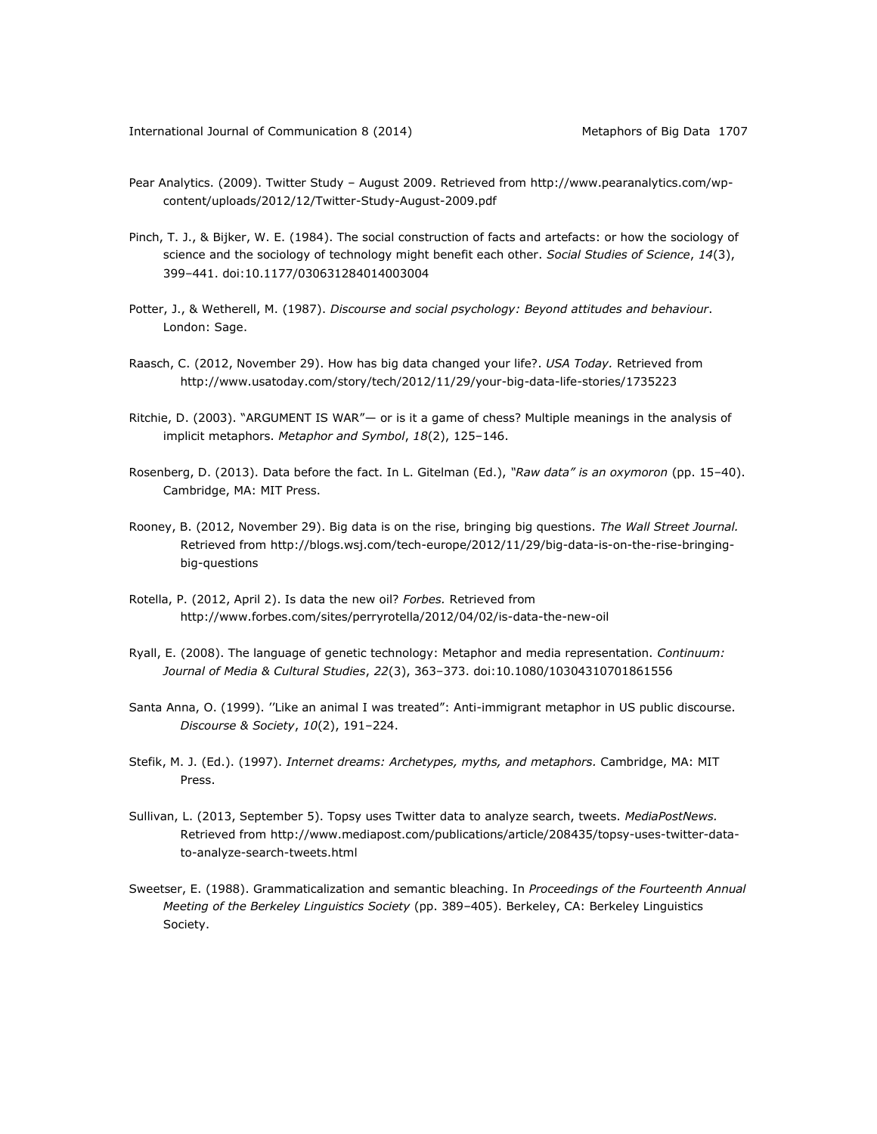- Pear Analytics. (2009). Twitter Study August 2009. Retrieved from [http://www.pearanalytics.com/wp](http://www.pearanalytics.com/wp-content/uploads/2012/12/Twitter-Study-August-2009.pdf)[content/uploads/2012/12/Twitter-Study-August-2009.pdf](http://www.pearanalytics.com/wp-content/uploads/2012/12/Twitter-Study-August-2009.pdf)
- Pinch, T. J., & Bijker, W. E. (1984). The social construction of facts and artefacts: or how the sociology of science and the sociology of technology might benefit each other. *Social Studies of Science*, *14*(3), 399–441. doi:10.1177/030631284014003004
- Potter, J., & Wetherell, M. (1987). *Discourse and social psychology: Beyond attitudes and behaviour*. London: Sage.
- Raasch, C. (2012, November 29). How has big data changed your life?. *USA Today.* Retrieved from <http://www.usatoday.com/story/tech/2012/11/29/your-big-data-life-stories/1735223>
- Ritchie, D. (2003). "ARGUMENT IS WAR"— or is it a game of chess? Multiple meanings in the analysis of implicit metaphors. *Metaphor and Symbol*, *18*(2), 125–146.
- Rosenberg, D. (2013). Data before the fact. In L. Gitelman (Ed.), *"Raw data" is an oxymoron* (pp. 15–40). Cambridge, MA: MIT Press.
- Rooney, B. (2012, November 29). Big data is on the rise, bringing big questions. *The Wall Street Journal.* Retrieved from [http://blogs.wsj.com/tech-europe/2012/11/29/big-data-is-on-the-rise-bringing](http://blogs.wsj.com/tech-europe/2012/11/29/big-data-is-on-the-rise-bringing-big-questions)[big-questions](http://blogs.wsj.com/tech-europe/2012/11/29/big-data-is-on-the-rise-bringing-big-questions)
- Rotella, P. (2012, April 2). Is data the new oil? *Forbes.* Retrieved from <http://www.forbes.com/sites/perryrotella/2012/04/02/is-data-the-new-oil>
- Ryall, E. (2008). The language of genetic technology: Metaphor and media representation. *Continuum: Journal of Media & Cultural Studies*, *22*(3), 363–373. doi:10.1080/10304310701861556
- Santa Anna, O. (1999). ''Like an animal I was treated": Anti-immigrant metaphor in US public discourse. *Discourse & Society*, *10*(2), 191–224.
- Stefik, M. J. (Ed.). (1997). *Internet dreams: Archetypes, myths, and metaphors.* Cambridge, MA: MIT Press.
- Sullivan, L. (2013, September 5). Topsy uses Twitter data to analyze search, tweets. *MediaPostNews.* Retrieved from [http://www.mediapost.com/publications/article/208435/topsy-uses-twitter-data](http://www.mediapost.com/publications/article/208435/topsy-uses-twitter-data-to-analyze-search-tweets.html)[to-analyze-search-tweets.html](http://www.mediapost.com/publications/article/208435/topsy-uses-twitter-data-to-analyze-search-tweets.html)
- Sweetser, E. (1988). Grammaticalization and semantic bleaching. In *Proceedings of the Fourteenth Annual Meeting of the Berkeley Linguistics Society* (pp. 389–405). Berkeley, CA: Berkeley Linguistics Society.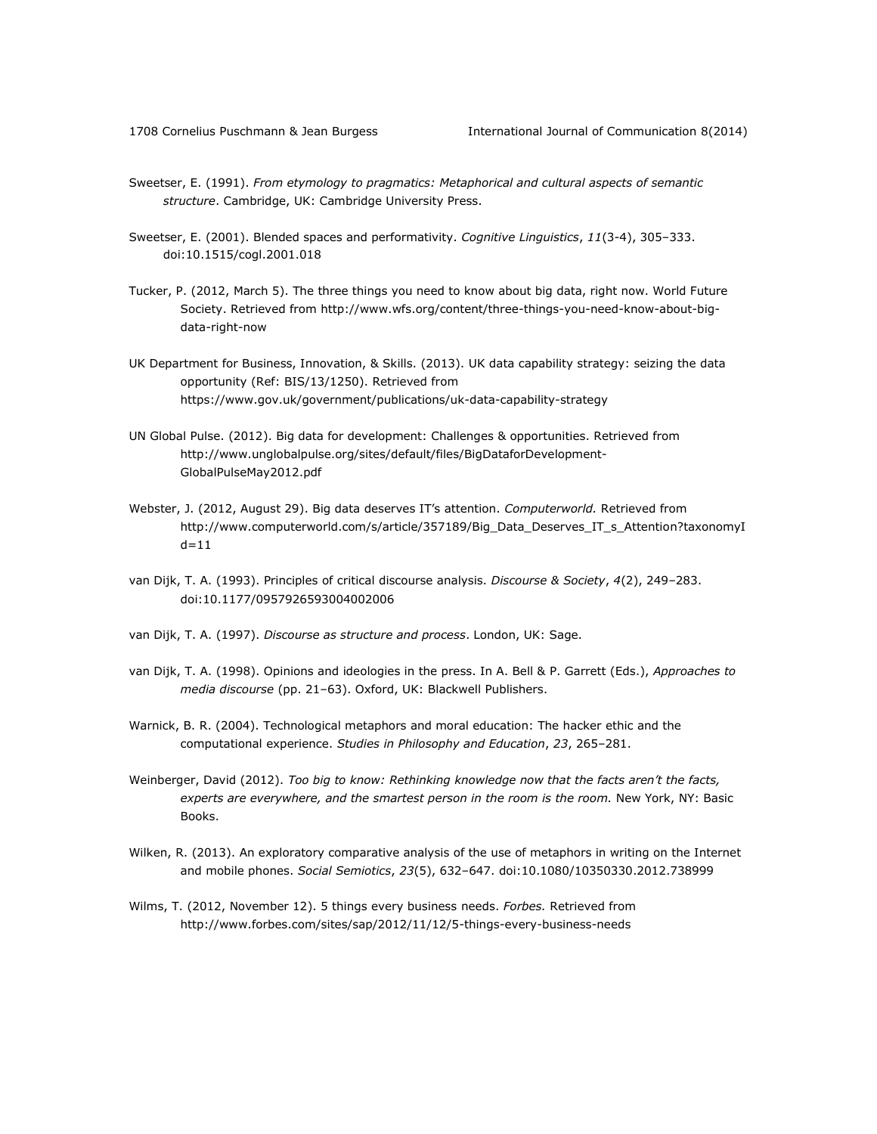- Sweetser, E. (1991). *From etymology to pragmatics: Metaphorical and cultural aspects of semantic structure*. Cambridge, UK: Cambridge University Press.
- Sweetser, E. (2001). Blended spaces and performativity. *Cognitive Linguistics*, *11*(3-4), 305–333. doi:10.1515/cogl.2001.018
- Tucker, P. (2012, March 5). The three things you need to know about big data, right now. World Future Society. Retrieved from [http://www.wfs.org/content/three-things-you-need-know-about-big](http://www.wfs.org/content/three-things-you-need-know-about-big-data-right-now)[data-right-now](http://www.wfs.org/content/three-things-you-need-know-about-big-data-right-now)
- UK Department for Business, Innovation, & Skills. (2013). UK data capability strategy: seizing the data opportunity (Ref: BIS/13/1250). Retrieved from <https://www.gov.uk/government/publications/uk-data-capability-strategy>
- UN Global Pulse. (2012). Big data for development: Challenges & opportunities. Retrieved from [http://www.unglobalpulse.org/sites/default/files/BigDataforDevelopment-](http://www.unglobalpulse.org/sites/default/files/BigDataforDevelopment-GlobalPulseMay2012.pdf)[GlobalPulseMay2012.pdf](http://www.unglobalpulse.org/sites/default/files/BigDataforDevelopment-GlobalPulseMay2012.pdf)
- Webster, J. (2012, August 29). Big data deserves IT's attention. *Computerworld.* Retrieved from [http://www.computerworld.com/s/article/357189/Big\\_Data\\_Deserves\\_IT\\_s\\_Attention?taxonomyI](http://www.computerworld.com/s/article/357189/Big_Data_Deserves_IT_s_Attention?taxonomyId=11)  $d=11$
- van Dijk, T. A. (1993). Principles of critical discourse analysis. *Discourse & Society*, *4*(2), 249–283. doi:10.1177/0957926593004002006
- van Dijk, T. A. (1997). *Discourse as structure and process*. London, UK: Sage.
- van Dijk, T. A. (1998). Opinions and ideologies in the press. In A. Bell & P. Garrett (Eds.), *Approaches to media discourse* (pp. 21–63). Oxford, UK: Blackwell Publishers.
- Warnick, B. R. (2004). Technological metaphors and moral education: The hacker ethic and the computational experience. *Studies in Philosophy and Education*, *23*, 265–281.
- Weinberger, David (2012). *Too big to know: Rethinking knowledge now that the facts aren't the facts, experts are everywhere, and the smartest person in the room is the room.* New York, NY: Basic Books.
- Wilken, R. (2013). An exploratory comparative analysis of the use of metaphors in writing on the Internet and mobile phones. *Social Semiotics*, *23*(5), 632–647. doi:10.1080/10350330.2012.738999
- Wilms, T. (2012, November 12). 5 things every business needs. *Forbes.* Retrieved from <http://www.forbes.com/sites/sap/2012/11/12/5-things-every-business-needs>